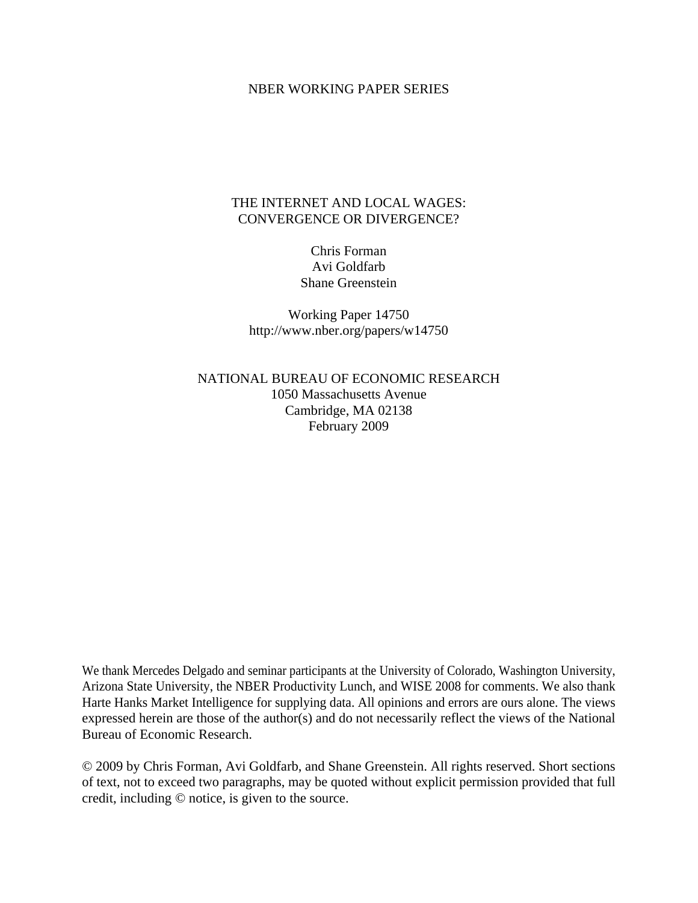## NBER WORKING PAPER SERIES

# THE INTERNET AND LOCAL WAGES: CONVERGENCE OR DIVERGENCE?

Chris Forman Avi Goldfarb Shane Greenstein

Working Paper 14750 http://www.nber.org/papers/w14750

NATIONAL BUREAU OF ECONOMIC RESEARCH 1050 Massachusetts Avenue Cambridge, MA 02138 February 2009

We thank Mercedes Delgado and seminar participants at the University of Colorado, Washington University, Arizona State University, the NBER Productivity Lunch, and WISE 2008 for comments. We also thank Harte Hanks Market Intelligence for supplying data. All opinions and errors are ours alone. The views expressed herein are those of the author(s) and do not necessarily reflect the views of the National Bureau of Economic Research.

© 2009 by Chris Forman, Avi Goldfarb, and Shane Greenstein. All rights reserved. Short sections of text, not to exceed two paragraphs, may be quoted without explicit permission provided that full credit, including © notice, is given to the source.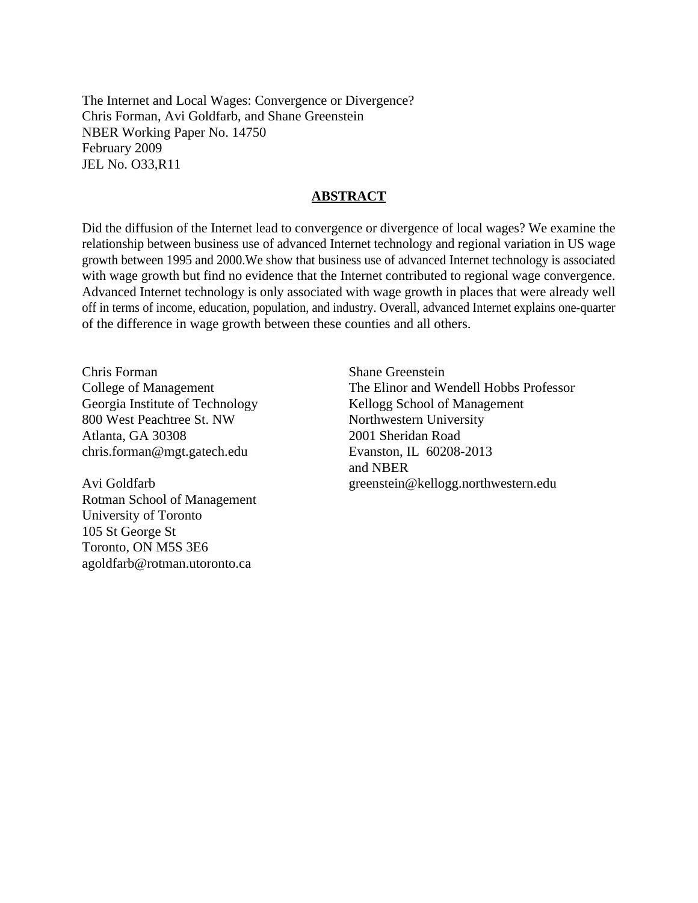The Internet and Local Wages: Convergence or Divergence? Chris Forman, Avi Goldfarb, and Shane Greenstein NBER Working Paper No. 14750 February 2009 JEL No. O33,R11

### **ABSTRACT**

Did the diffusion of the Internet lead to convergence or divergence of local wages? We examine the relationship between business use of advanced Internet technology and regional variation in US wage growth between 1995 and 2000.We show that business use of advanced Internet technology is associated with wage growth but find no evidence that the Internet contributed to regional wage convergence. Advanced Internet technology is only associated with wage growth in places that were already well off in terms of income, education, population, and industry. Overall, advanced Internet explains one-quarter of the difference in wage growth between these counties and all others.

Chris Forman College of Management Georgia Institute of Technology 800 West Peachtree St. NW Atlanta, GA 30308 chris.forman@mgt.gatech.edu

Avi Goldfarb Rotman School of Management University of Toronto 105 St George St Toronto, ON M5S 3E6 agoldfarb@rotman.utoronto.ca

Shane Greenstein The Elinor and Wendell Hobbs Professor Kellogg School of Management Northwestern University 2001 Sheridan Road Evanston, IL 60208-2013 and NBER greenstein@kellogg.northwestern.edu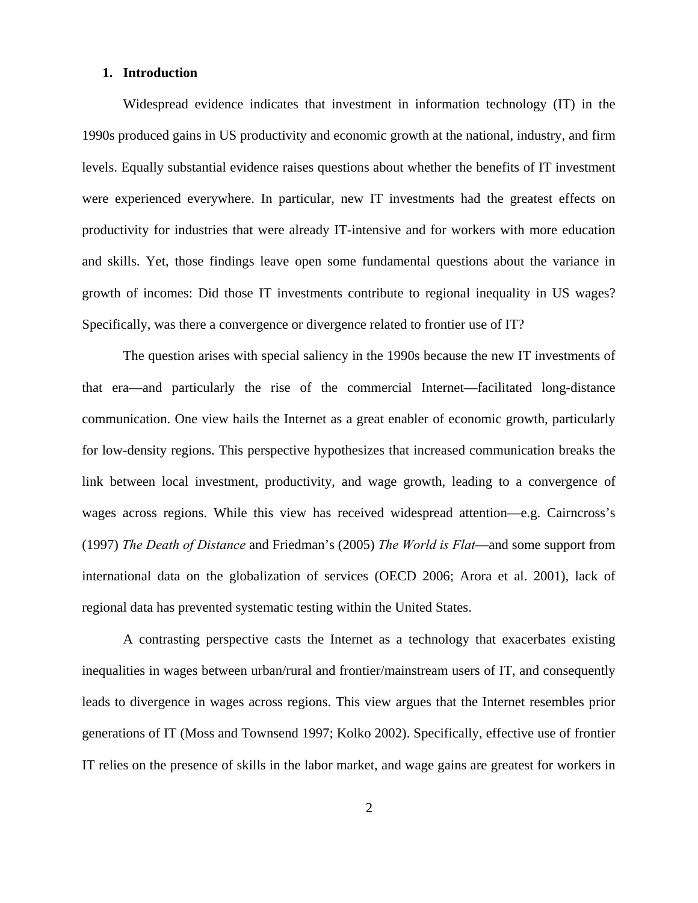#### **1. Introduction**

Widespread evidence indicates that investment in information technology (IT) in the 1990s produced gains in US productivity and economic growth at the national, industry, and firm levels. Equally substantial evidence raises questions about whether the benefits of IT investment were experienced everywhere. In particular, new IT investments had the greatest effects on productivity for industries that were already IT-intensive and for workers with more education and skills. Yet, those findings leave open some fundamental questions about the variance in growth of incomes: Did those IT investments contribute to regional inequality in US wages? Specifically, was there a convergence or divergence related to frontier use of IT?

The question arises with special saliency in the 1990s because the new IT investments of that era—and particularly the rise of the commercial Internet—facilitated long-distance communication. One view hails the Internet as a great enabler of economic growth, particularly for low-density regions. This perspective hypothesizes that increased communication breaks the link between local investment, productivity, and wage growth, leading to a convergence of wages across regions. While this view has received widespread attention—e.g. Cairncross's (1997) *The Death of Distance* and Friedman's (2005) *The World is Flat*—and some support from international data on the globalization of services (OECD 2006; Arora et al. 2001), lack of regional data has prevented systematic testing within the United States.

A contrasting perspective casts the Internet as a technology that exacerbates existing inequalities in wages between urban/rural and frontier/mainstream users of IT, and consequently leads to divergence in wages across regions. This view argues that the Internet resembles prior generations of IT (Moss and Townsend 1997; Kolko 2002). Specifically, effective use of frontier IT relies on the presence of skills in the labor market, and wage gains are greatest for workers in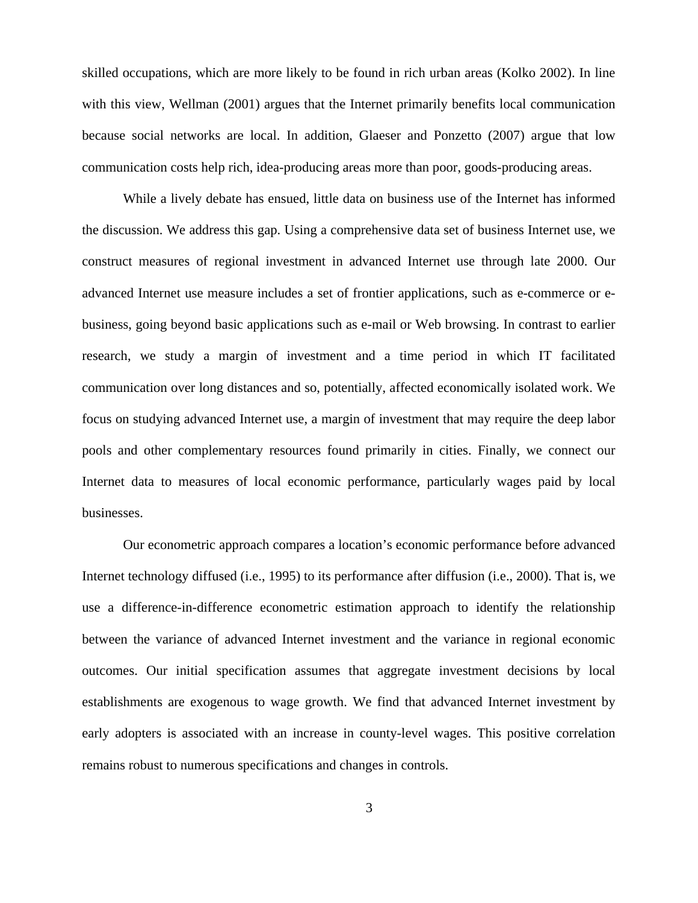skilled occupations, which are more likely to be found in rich urban areas (Kolko 2002). In line with this view, Wellman (2001) argues that the Internet primarily benefits local communication because social networks are local. In addition, Glaeser and Ponzetto (2007) argue that low communication costs help rich, idea-producing areas more than poor, goods-producing areas.

While a lively debate has ensued, little data on business use of the Internet has informed the discussion. We address this gap. Using a comprehensive data set of business Internet use, we construct measures of regional investment in advanced Internet use through late 2000. Our advanced Internet use measure includes a set of frontier applications, such as e-commerce or ebusiness, going beyond basic applications such as e-mail or Web browsing. In contrast to earlier research, we study a margin of investment and a time period in which IT facilitated communication over long distances and so, potentially, affected economically isolated work. We focus on studying advanced Internet use, a margin of investment that may require the deep labor pools and other complementary resources found primarily in cities. Finally, we connect our Internet data to measures of local economic performance, particularly wages paid by local businesses.

Our econometric approach compares a location's economic performance before advanced Internet technology diffused (i.e., 1995) to its performance after diffusion (i.e., 2000). That is, we use a difference-in-difference econometric estimation approach to identify the relationship between the variance of advanced Internet investment and the variance in regional economic outcomes. Our initial specification assumes that aggregate investment decisions by local establishments are exogenous to wage growth. We find that advanced Internet investment by early adopters is associated with an increase in county-level wages. This positive correlation remains robust to numerous specifications and changes in controls.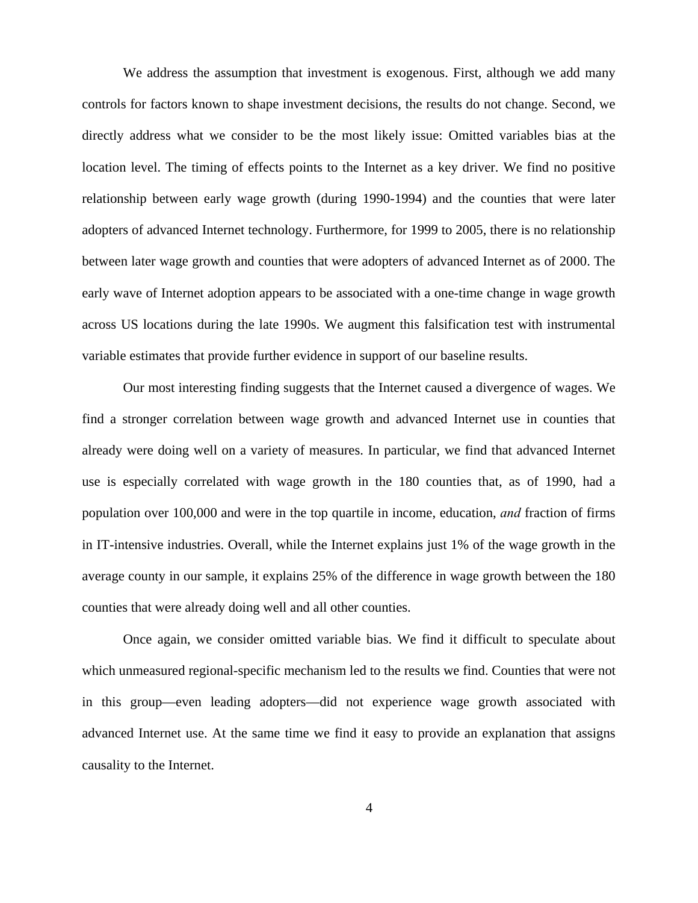We address the assumption that investment is exogenous. First, although we add many controls for factors known to shape investment decisions, the results do not change. Second, we directly address what we consider to be the most likely issue: Omitted variables bias at the location level. The timing of effects points to the Internet as a key driver. We find no positive relationship between early wage growth (during 1990-1994) and the counties that were later adopters of advanced Internet technology. Furthermore, for 1999 to 2005, there is no relationship between later wage growth and counties that were adopters of advanced Internet as of 2000. The early wave of Internet adoption appears to be associated with a one-time change in wage growth across US locations during the late 1990s. We augment this falsification test with instrumental variable estimates that provide further evidence in support of our baseline results.

Our most interesting finding suggests that the Internet caused a divergence of wages. We find a stronger correlation between wage growth and advanced Internet use in counties that already were doing well on a variety of measures. In particular, we find that advanced Internet use is especially correlated with wage growth in the 180 counties that, as of 1990, had a population over 100,000 and were in the top quartile in income, education, *and* fraction of firms in IT-intensive industries. Overall, while the Internet explains just 1% of the wage growth in the average county in our sample, it explains 25% of the difference in wage growth between the 180 counties that were already doing well and all other counties.

Once again, we consider omitted variable bias. We find it difficult to speculate about which unmeasured regional-specific mechanism led to the results we find. Counties that were not in this group—even leading adopters—did not experience wage growth associated with advanced Internet use. At the same time we find it easy to provide an explanation that assigns causality to the Internet.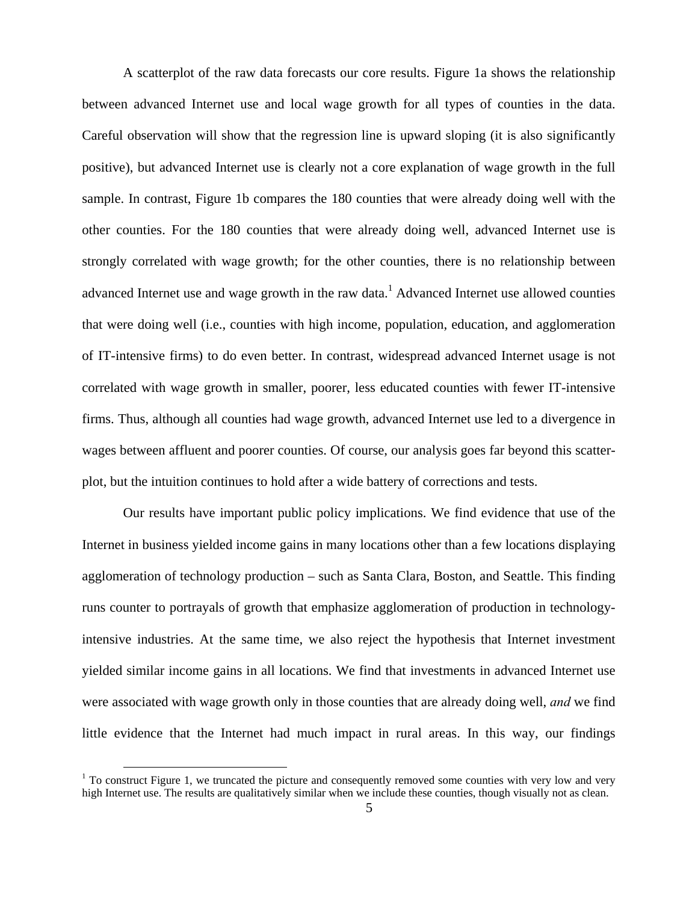A scatterplot of the raw data forecasts our core results. Figure 1a shows the relationship between advanced Internet use and local wage growth for all types of counties in the data. Careful observation will show that the regression line is upward sloping (it is also significantly positive), but advanced Internet use is clearly not a core explanation of wage growth in the full sample. In contrast, Figure 1b compares the 180 counties that were already doing well with the other counties. For the 180 counties that were already doing well, advanced Internet use is strongly correlated with wage growth; for the other counties, there is no relationship between advanced Internet use and wage growth in the raw data.<sup>1</sup> Advanced Internet use allowed counties that were doing well (i.e., counties with high income, population, education, and agglomeration of IT-intensive firms) to do even better. In contrast, widespread advanced Internet usage is not correlated with wage growth in smaller, poorer, less educated counties with fewer IT-intensive firms. Thus, although all counties had wage growth, advanced Internet use led to a divergence in wages between affluent and poorer counties. Of course, our analysis goes far beyond this scatterplot, but the intuition continues to hold after a wide battery of corrections and tests.

Our results have important public policy implications. We find evidence that use of the Internet in business yielded income gains in many locations other than a few locations displaying agglomeration of technology production – such as Santa Clara, Boston, and Seattle. This finding runs counter to portrayals of growth that emphasize agglomeration of production in technologyintensive industries. At the same time, we also reject the hypothesis that Internet investment yielded similar income gains in all locations. We find that investments in advanced Internet use were associated with wage growth only in those counties that are already doing well, *and* we find little evidence that the Internet had much impact in rural areas. In this way, our findings

<sup>&</sup>lt;sup>1</sup> To construct Figure 1, we truncated the picture and consequently removed some counties with very low and very high Internet use. The results are qualitatively similar when we include these counties, though visually not as clean.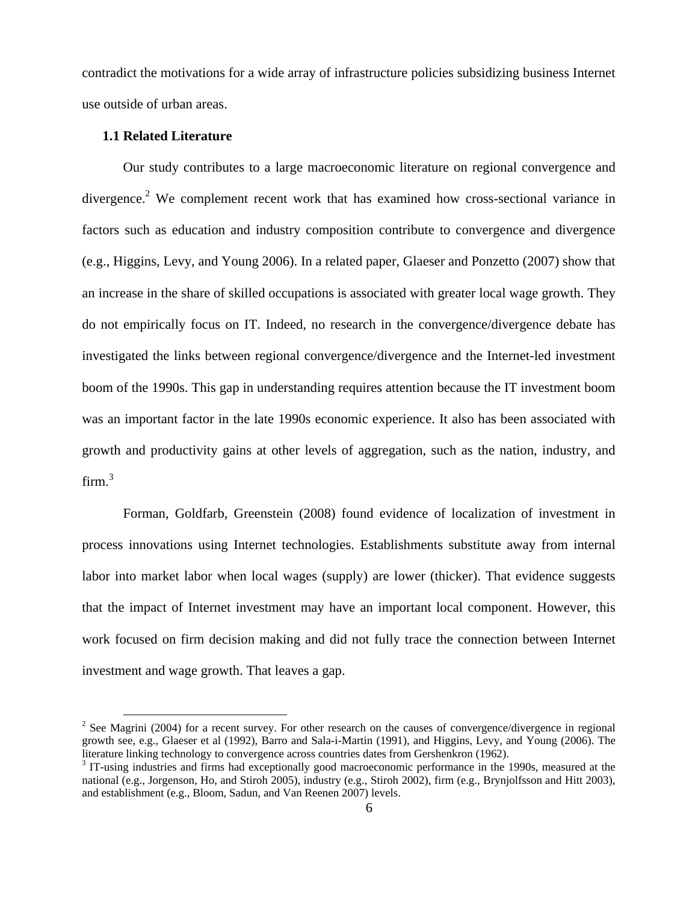contradict the motivations for a wide array of infrastructure policies subsidizing business Internet use outside of urban areas.

#### **1.1 Related Literature**

Our study contributes to a large macroeconomic literature on regional convergence and divergence.<sup>2</sup> We complement recent work that has examined how cross-sectional variance in factors such as education and industry composition contribute to convergence and divergence (e.g., Higgins, Levy, and Young 2006). In a related paper, Glaeser and Ponzetto (2007) show that an increase in the share of skilled occupations is associated with greater local wage growth. They do not empirically focus on IT. Indeed, no research in the convergence/divergence debate has investigated the links between regional convergence/divergence and the Internet-led investment boom of the 1990s. This gap in understanding requires attention because the IT investment boom was an important factor in the late 1990s economic experience. It also has been associated with growth and productivity gains at other levels of aggregation, such as the nation, industry, and firm. $^3$ 

Forman, Goldfarb, Greenstein (2008) found evidence of localization of investment in process innovations using Internet technologies. Establishments substitute away from internal labor into market labor when local wages (supply) are lower (thicker). That evidence suggests that the impact of Internet investment may have an important local component. However, this work focused on firm decision making and did not fully trace the connection between Internet investment and wage growth. That leaves a gap.

<sup>&</sup>lt;sup>2</sup> See Magrini (2004) for a recent survey. For other research on the causes of convergence/divergence in regional growth see, e.g., Glaeser et al (1992), Barro and Sala-i-Martin (1991), and Higgins, Levy, and Young (2006). The literature linking technology to convergence across countries dates from Gershenkron (1962).

<sup>&</sup>lt;sup>3</sup> IT-using industries and firms had exceptionally good macroeconomic performance in the 1990s, measured at the national (e.g., Jorgenson, Ho, and Stiroh 2005), industry (e.g., Stiroh 2002), firm (e.g., Brynjolfsson and Hitt 2003), and establishment (e.g., Bloom, Sadun, and Van Reenen 2007) levels.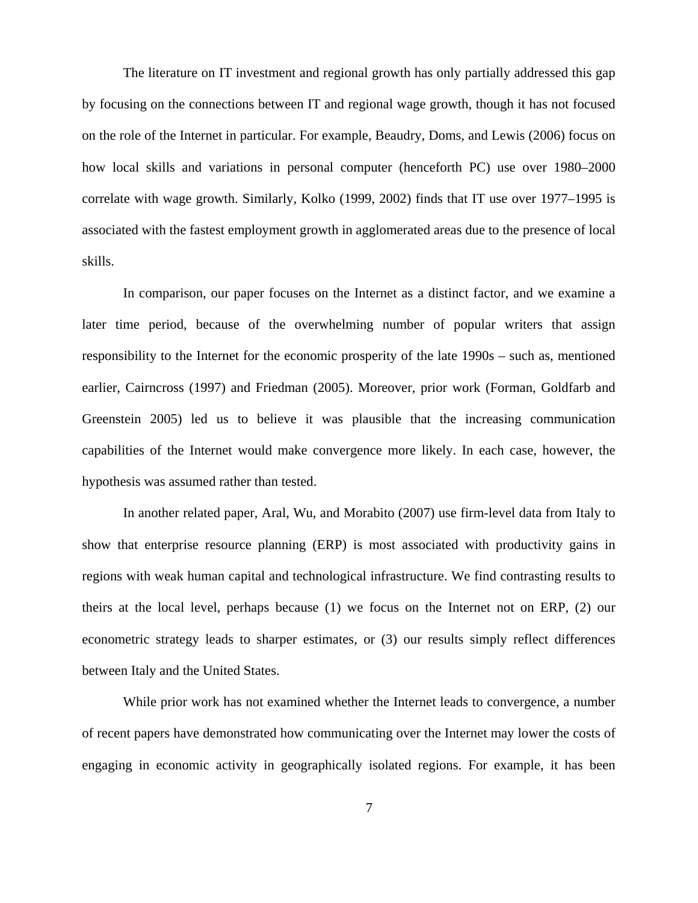The literature on IT investment and regional growth has only partially addressed this gap by focusing on the connections between IT and regional wage growth, though it has not focused on the role of the Internet in particular. For example, Beaudry, Doms, and Lewis (2006) focus on how local skills and variations in personal computer (henceforth PC) use over 1980–2000 correlate with wage growth. Similarly, Kolko (1999, 2002) finds that IT use over 1977–1995 is associated with the fastest employment growth in agglomerated areas due to the presence of local skills.

In comparison, our paper focuses on the Internet as a distinct factor, and we examine a later time period, because of the overwhelming number of popular writers that assign responsibility to the Internet for the economic prosperity of the late 1990s – such as, mentioned earlier, Cairncross (1997) and Friedman (2005). Moreover, prior work (Forman, Goldfarb and Greenstein 2005) led us to believe it was plausible that the increasing communication capabilities of the Internet would make convergence more likely. In each case, however, the hypothesis was assumed rather than tested.

In another related paper, Aral, Wu, and Morabito (2007) use firm-level data from Italy to show that enterprise resource planning (ERP) is most associated with productivity gains in regions with weak human capital and technological infrastructure. We find contrasting results to theirs at the local level, perhaps because (1) we focus on the Internet not on ERP, (2) our econometric strategy leads to sharper estimates, or (3) our results simply reflect differences between Italy and the United States.

While prior work has not examined whether the Internet leads to convergence, a number of recent papers have demonstrated how communicating over the Internet may lower the costs of engaging in economic activity in geographically isolated regions. For example, it has been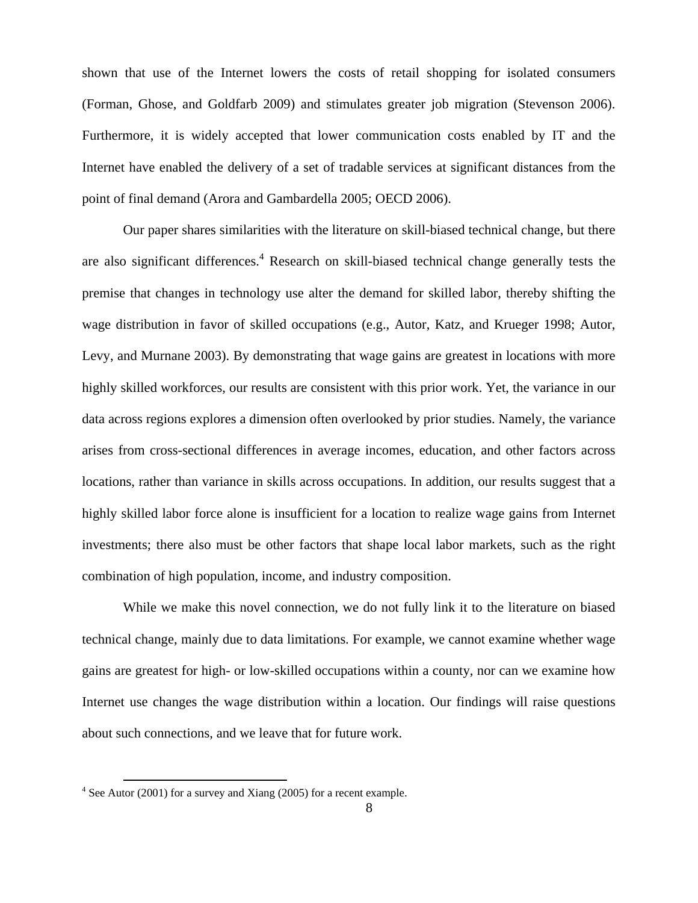shown that use of the Internet lowers the costs of retail shopping for isolated consumers (Forman, Ghose, and Goldfarb 2009) and stimulates greater job migration (Stevenson 2006). Furthermore, it is widely accepted that lower communication costs enabled by IT and the Internet have enabled the delivery of a set of tradable services at significant distances from the point of final demand (Arora and Gambardella 2005; OECD 2006).

Our paper shares similarities with the literature on skill-biased technical change, but there are also significant differences.<sup>4</sup> Research on skill-biased technical change generally tests the premise that changes in technology use alter the demand for skilled labor, thereby shifting the wage distribution in favor of skilled occupations (e.g., Autor, Katz, and Krueger 1998; Autor, Levy, and Murnane 2003). By demonstrating that wage gains are greatest in locations with more highly skilled workforces, our results are consistent with this prior work. Yet, the variance in our data across regions explores a dimension often overlooked by prior studies. Namely, the variance arises from cross-sectional differences in average incomes, education, and other factors across locations, rather than variance in skills across occupations. In addition, our results suggest that a highly skilled labor force alone is insufficient for a location to realize wage gains from Internet investments; there also must be other factors that shape local labor markets, such as the right combination of high population, income, and industry composition.

While we make this novel connection, we do not fully link it to the literature on biased technical change, mainly due to data limitations. For example, we cannot examine whether wage gains are greatest for high- or low-skilled occupations within a county, nor can we examine how Internet use changes the wage distribution within a location. Our findings will raise questions about such connections, and we leave that for future work.

 <sup>4</sup> See Autor (2001) for a survey and Xiang (2005) for a recent example.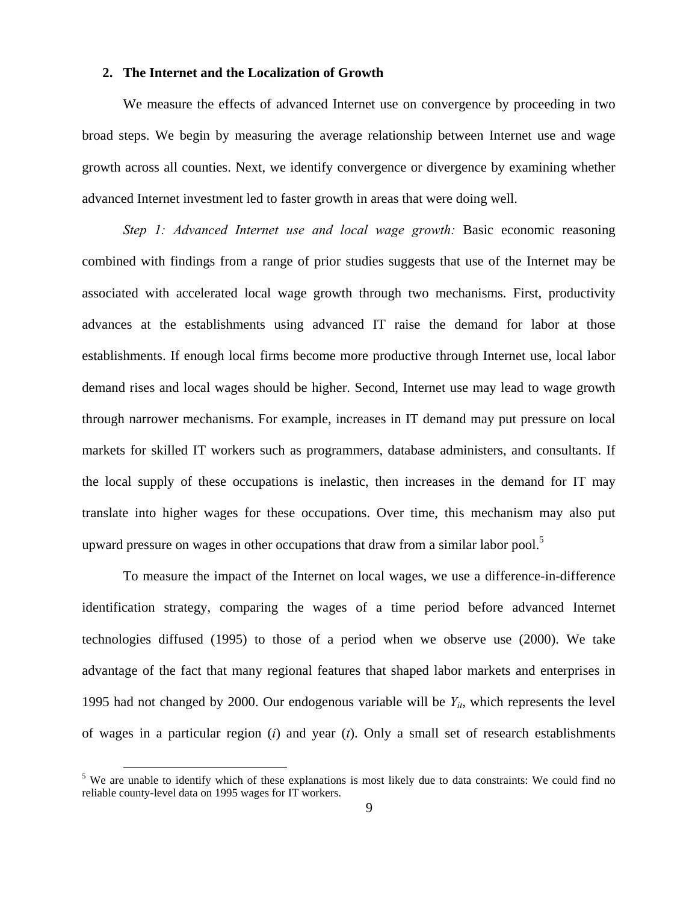### **2. The Internet and the Localization of Growth**

We measure the effects of advanced Internet use on convergence by proceeding in two broad steps. We begin by measuring the average relationship between Internet use and wage growth across all counties. Next, we identify convergence or divergence by examining whether advanced Internet investment led to faster growth in areas that were doing well.

*Step 1: Advanced Internet use and local wage growth: Basic economic reasoning* combined with findings from a range of prior studies suggests that use of the Internet may be associated with accelerated local wage growth through two mechanisms. First, productivity advances at the establishments using advanced IT raise the demand for labor at those establishments. If enough local firms become more productive through Internet use, local labor demand rises and local wages should be higher. Second, Internet use may lead to wage growth through narrower mechanisms. For example, increases in IT demand may put pressure on local markets for skilled IT workers such as programmers, database administers, and consultants. If the local supply of these occupations is inelastic, then increases in the demand for IT may translate into higher wages for these occupations. Over time, this mechanism may also put upward pressure on wages in other occupations that draw from a similar labor pool.<sup>5</sup>

To measure the impact of the Internet on local wages, we use a difference-in-difference identification strategy, comparing the wages of a time period before advanced Internet technologies diffused (1995) to those of a period when we observe use (2000). We take advantage of the fact that many regional features that shaped labor markets and enterprises in 1995 had not changed by 2000. Our endogenous variable will be *Yit*, which represents the level of wages in a particular region (*i*) and year (*t*). Only a small set of research establishments

<sup>&</sup>lt;sup>5</sup> We are unable to identify which of these explanations is most likely due to data constraints: We could find no reliable county-level data on 1995 wages for IT workers.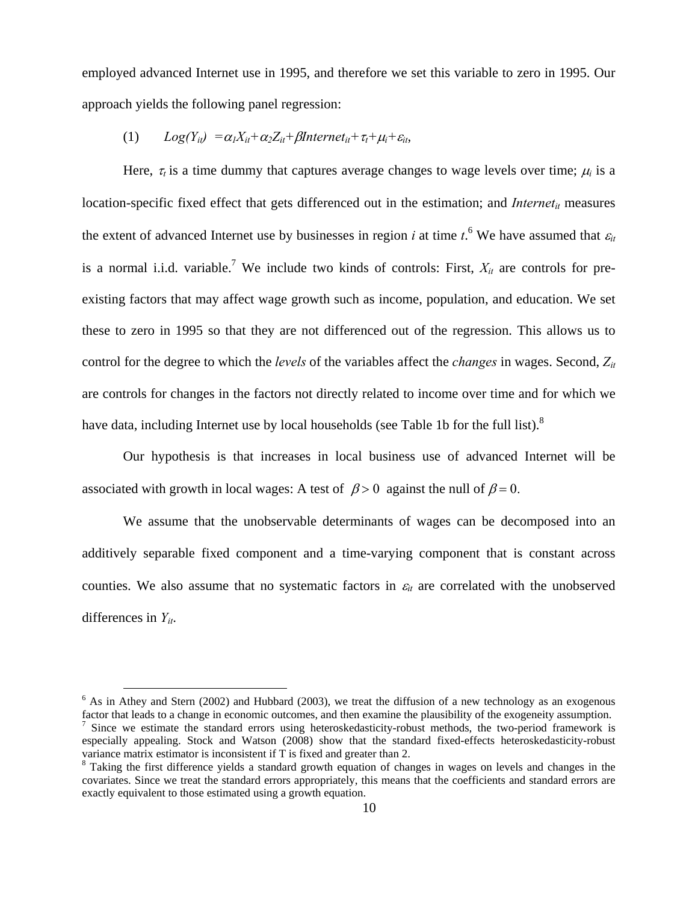employed advanced Internet use in 1995, and therefore we set this variable to zero in 1995. Our approach yields the following panel regression:

(1)  $Log(Y_{it}) = \alpha_1 X_{it} + \alpha_2 Z_{it} + \beta Internet_{it} + \tau_t + \mu_i + \varepsilon_{it}$ 

Here,  $\tau_t$  is a time dummy that captures average changes to wage levels over time;  $\mu_i$  is a location-specific fixed effect that gets differenced out in the estimation; and *Internet<sub>it</sub>* measures the extent of advanced Internet use by businesses in region *i* at time  $t$ .<sup>6</sup> We have assumed that  $\varepsilon$ <sub>*it*</sub> is a normal i.i.d. variable.<sup>7</sup> We include two kinds of controls: First,  $X_{it}$  are controls for preexisting factors that may affect wage growth such as income, population, and education. We set these to zero in 1995 so that they are not differenced out of the regression. This allows us to control for the degree to which the *levels* of the variables affect the *changes* in wages. Second, *Zit* are controls for changes in the factors not directly related to income over time and for which we have data, including Internet use by local households (see Table 1b for the full list).<sup>8</sup>

Our hypothesis is that increases in local business use of advanced Internet will be associated with growth in local wages: A test of  $\beta > 0$  against the null of  $\beta = 0$ .

We assume that the unobservable determinants of wages can be decomposed into an additively separable fixed component and a time-varying component that is constant across counties. We also assume that no systematic factors in  $\varepsilon$ <sub>*it*</sub> are correlated with the unobserved differences in *Yit*.

<sup>&</sup>lt;sup>6</sup> As in Athey and Stern (2002) and Hubbard (2003), we treat the diffusion of a new technology as an exogenous factor that leads to a change in economic outcomes, and then examine the plausibility of the exogeneity assumption. <sup>7</sup> Since we estimate the standard errors using heteroskedasticity-robust methods, the two-period framework is especially appealing. Stock and Watson (2008) show that the standard fixed-effects heteroskedasticity-robust variance matrix estimator is inconsistent if T is fixed and greater than 2.

<sup>&</sup>lt;sup>8</sup> Taking the first difference yields a standard growth equation of changes in wages on levels and changes in the covariates. Since we treat the standard errors appropriately, this means that the coefficients and standard errors are exactly equivalent to those estimated using a growth equation.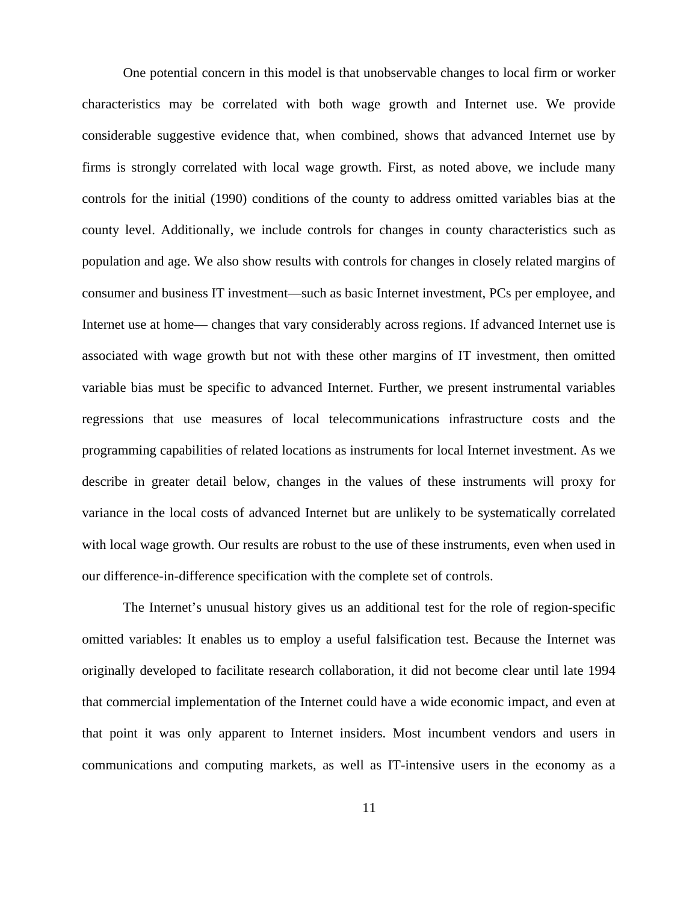One potential concern in this model is that unobservable changes to local firm or worker characteristics may be correlated with both wage growth and Internet use. We provide considerable suggestive evidence that, when combined, shows that advanced Internet use by firms is strongly correlated with local wage growth. First, as noted above, we include many controls for the initial (1990) conditions of the county to address omitted variables bias at the county level. Additionally, we include controls for changes in county characteristics such as population and age. We also show results with controls for changes in closely related margins of consumer and business IT investment—such as basic Internet investment, PCs per employee, and Internet use at home— changes that vary considerably across regions. If advanced Internet use is associated with wage growth but not with these other margins of IT investment, then omitted variable bias must be specific to advanced Internet. Further, we present instrumental variables regressions that use measures of local telecommunications infrastructure costs and the programming capabilities of related locations as instruments for local Internet investment. As we describe in greater detail below, changes in the values of these instruments will proxy for variance in the local costs of advanced Internet but are unlikely to be systematically correlated with local wage growth. Our results are robust to the use of these instruments, even when used in our difference-in-difference specification with the complete set of controls.

The Internet's unusual history gives us an additional test for the role of region-specific omitted variables: It enables us to employ a useful falsification test. Because the Internet was originally developed to facilitate research collaboration, it did not become clear until late 1994 that commercial implementation of the Internet could have a wide economic impact, and even at that point it was only apparent to Internet insiders. Most incumbent vendors and users in communications and computing markets, as well as IT-intensive users in the economy as a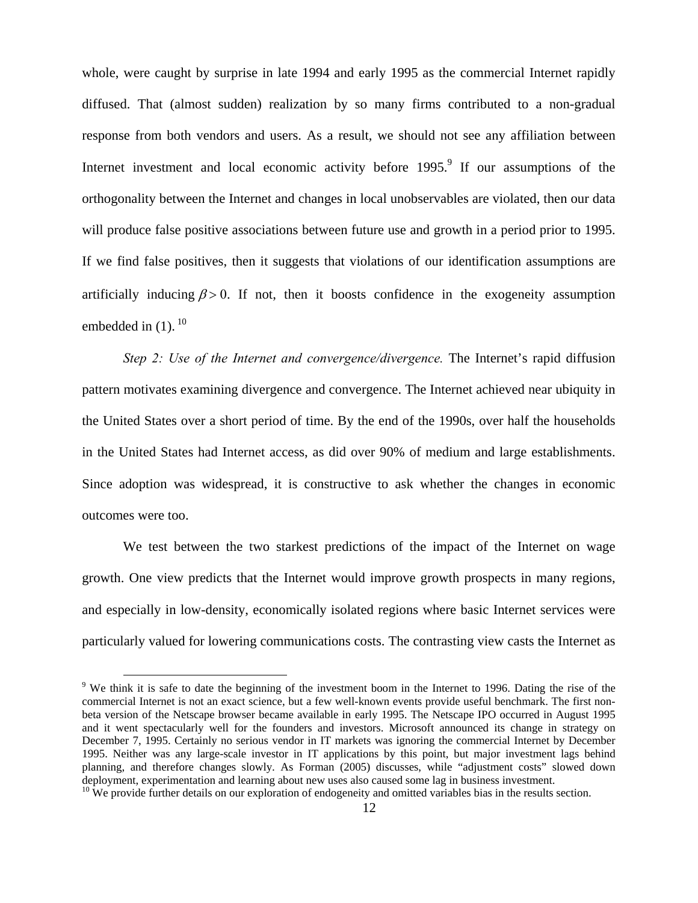whole, were caught by surprise in late 1994 and early 1995 as the commercial Internet rapidly diffused. That (almost sudden) realization by so many firms contributed to a non-gradual response from both vendors and users. As a result, we should not see any affiliation between Internet investment and local economic activity before  $1995$ .<sup>9</sup> If our assumptions of the orthogonality between the Internet and changes in local unobservables are violated, then our data will produce false positive associations between future use and growth in a period prior to 1995. If we find false positives, then it suggests that violations of our identification assumptions are artificially inducing  $\beta > 0$ . If not, then it boosts confidence in the exogeneity assumption embedded in  $(1)$ .  $^{10}$ 

*Step 2: Use of the Internet and convergence/divergence.* The Internet's rapid diffusion pattern motivates examining divergence and convergence. The Internet achieved near ubiquity in the United States over a short period of time. By the end of the 1990s, over half the households in the United States had Internet access, as did over 90% of medium and large establishments. Since adoption was widespread, it is constructive to ask whether the changes in economic outcomes were too.

We test between the two starkest predictions of the impact of the Internet on wage growth. One view predicts that the Internet would improve growth prospects in many regions, and especially in low-density, economically isolated regions where basic Internet services were particularly valued for lowering communications costs. The contrasting view casts the Internet as

<sup>&</sup>lt;sup>9</sup> We think it is safe to date the beginning of the investment boom in the Internet to 1996. Dating the rise of the commercial Internet is not an exact science, but a few well-known events provide useful benchmark. The first nonbeta version of the Netscape browser became available in early 1995. The Netscape IPO occurred in August 1995 and it went spectacularly well for the founders and investors. Microsoft announced its change in strategy on December 7, 1995. Certainly no serious vendor in IT markets was ignoring the commercial Internet by December 1995. Neither was any large-scale investor in IT applications by this point, but major investment lags behind planning, and therefore changes slowly. As Forman (2005) discusses, while "adjustment costs" slowed down deployment, experimentation and learning about new uses also caused some lag in business investment.

 $10$  We provide further details on our exploration of endogeneity and omitted variables bias in the results section.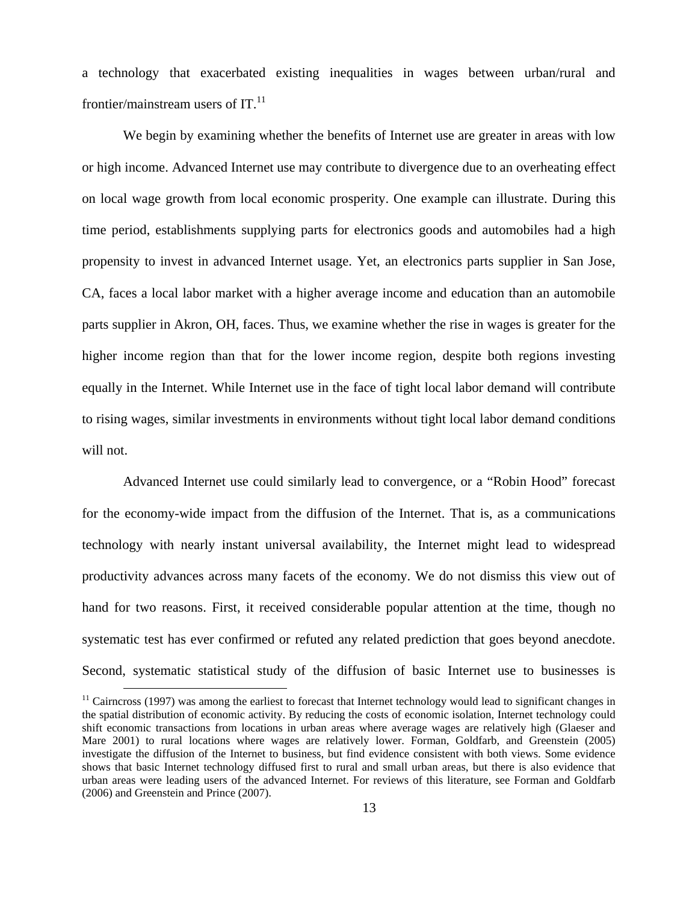a technology that exacerbated existing inequalities in wages between urban/rural and frontier/mainstream users of  $IT.$ <sup>11</sup>

We begin by examining whether the benefits of Internet use are greater in areas with low or high income. Advanced Internet use may contribute to divergence due to an overheating effect on local wage growth from local economic prosperity. One example can illustrate. During this time period, establishments supplying parts for electronics goods and automobiles had a high propensity to invest in advanced Internet usage. Yet, an electronics parts supplier in San Jose, CA, faces a local labor market with a higher average income and education than an automobile parts supplier in Akron, OH, faces. Thus, we examine whether the rise in wages is greater for the higher income region than that for the lower income region, despite both regions investing equally in the Internet. While Internet use in the face of tight local labor demand will contribute to rising wages, similar investments in environments without tight local labor demand conditions will not.

Advanced Internet use could similarly lead to convergence, or a "Robin Hood" forecast for the economy-wide impact from the diffusion of the Internet. That is, as a communications technology with nearly instant universal availability, the Internet might lead to widespread productivity advances across many facets of the economy. We do not dismiss this view out of hand for two reasons. First, it received considerable popular attention at the time, though no systematic test has ever confirmed or refuted any related prediction that goes beyond anecdote. Second, systematic statistical study of the diffusion of basic Internet use to businesses is

 $11$  Cairncross (1997) was among the earliest to forecast that Internet technology would lead to significant changes in the spatial distribution of economic activity. By reducing the costs of economic isolation, Internet technology could shift economic transactions from locations in urban areas where average wages are relatively high (Glaeser and Mare 2001) to rural locations where wages are relatively lower. Forman, Goldfarb, and Greenstein (2005) investigate the diffusion of the Internet to business, but find evidence consistent with both views. Some evidence shows that basic Internet technology diffused first to rural and small urban areas, but there is also evidence that urban areas were leading users of the advanced Internet. For reviews of this literature, see Forman and Goldfarb (2006) and Greenstein and Prince (2007).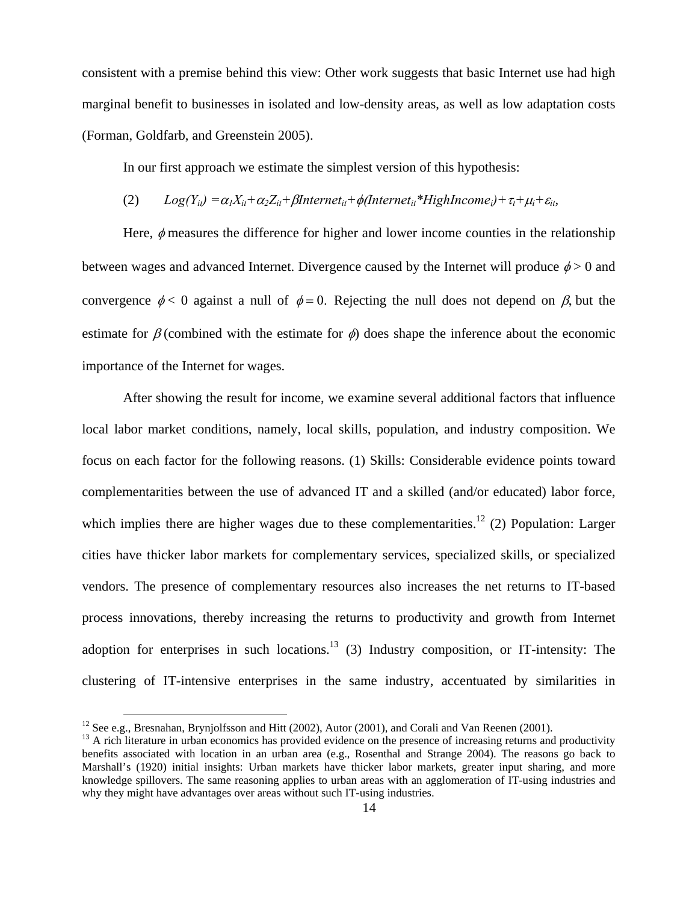consistent with a premise behind this view: Other work suggests that basic Internet use had high marginal benefit to businesses in isolated and low-density areas, as well as low adaptation costs (Forman, Goldfarb, and Greenstein 2005).

In our first approach we estimate the simplest version of this hypothesis:

# (2)  $Log(Y_{it}) = \alpha_1 X_{it} + \alpha_2 Z_{it} + \beta Internet_{it} + \phi(Internet_{it} * High Income_i) + \tau_t + \mu_i + \varepsilon_{it}$

Here,  $\phi$  measures the difference for higher and lower income counties in the relationship between wages and advanced Internet. Divergence caused by the Internet will produce  $\phi > 0$  and convergence  $\phi < 0$  against a null of  $\phi = 0$ . Rejecting the null does not depend on  $\beta$ , but the estimate for  $\beta$  (combined with the estimate for  $\phi$ ) does shape the inference about the economic importance of the Internet for wages.

After showing the result for income, we examine several additional factors that influence local labor market conditions, namely, local skills, population, and industry composition. We focus on each factor for the following reasons. (1) Skills: Considerable evidence points toward complementarities between the use of advanced IT and a skilled (and/or educated) labor force, which implies there are higher wages due to these complementarities.<sup>12</sup> (2) Population: Larger cities have thicker labor markets for complementary services, specialized skills, or specialized vendors. The presence of complementary resources also increases the net returns to IT-based process innovations, thereby increasing the returns to productivity and growth from Internet adoption for enterprises in such locations.<sup>13</sup> (3) Industry composition, or IT-intensity: The clustering of IT-intensive enterprises in the same industry, accentuated by similarities in

<sup>&</sup>lt;sup>12</sup> See e.g., Bresnahan, Brynjolfsson and Hitt (2002), Autor (2001), and Corali and Van Reenen (2001).<br><sup>13</sup> A rich literature in urban economics has provided evidence on the presence of increasing returns and productivit benefits associated with location in an urban area (e.g., Rosenthal and Strange 2004). The reasons go back to Marshall's (1920) initial insights: Urban markets have thicker labor markets, greater input sharing, and more knowledge spillovers. The same reasoning applies to urban areas with an agglomeration of IT-using industries and why they might have advantages over areas without such IT-using industries.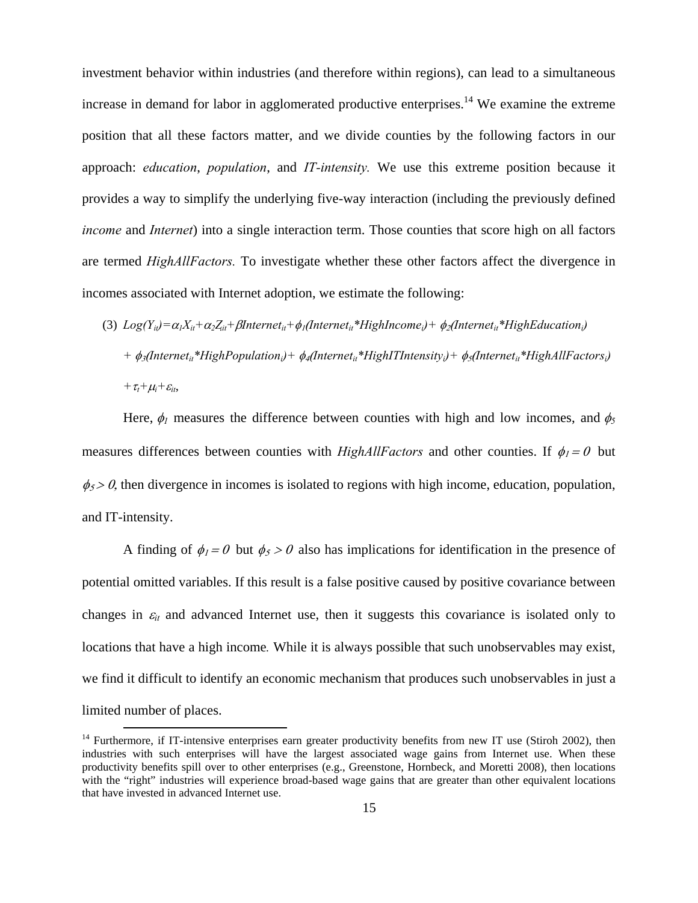investment behavior within industries (and therefore within regions), can lead to a simultaneous increase in demand for labor in agglomerated productive enterprises.<sup>14</sup> We examine the extreme position that all these factors matter, and we divide counties by the following factors in our approach: *education*, *population*, and *IT-intensity.* We use this extreme position because it provides a way to simplify the underlying five-way interaction (including the previously defined *income* and *Internet*) into a single interaction term. Those counties that score high on all factors are termed *HighAllFactors.* To investigate whether these other factors affect the divergence in incomes associated with Internet adoption, we estimate the following:

(3)  $Log(Y_{ii}) = \alpha_1 X_{ii} + \alpha_2 Z_{ii} + \beta Internet_{ii} + \phi_1 (Internet_{ii} * High Income_i) + \phi_2 (Internet_{ii} * High Education_i)$ *+* φ3(*Internetit\*HighPopulationi)+* φ4(*Internetit\*HighITIntensityi)+* φ5(*Internetit\*HighAllFactorsi) +*τ*t+*μ*i+*<sup>ε</sup>*it*,

Here,  $\phi_l$  measures the difference between counties with high and low incomes, and  $\phi_5$ measures differences between counties with *HighAllFactors* and other counties. If  $\phi_1 = 0$  but  $\phi_5$  > 0, then divergence in incomes is isolated to regions with high income, education, population, and IT-intensity.

A finding of  $\phi_1 = 0$  but  $\phi_5 > 0$  also has implications for identification in the presence of potential omitted variables. If this result is a false positive caused by positive covariance between changes in <sup>ε</sup>*it* and advanced Internet use, then it suggests this covariance is isolated only to locations that have a high income*.* While it is always possible that such unobservables may exist, we find it difficult to identify an economic mechanism that produces such unobservables in just a limited number of places.

<sup>&</sup>lt;sup>14</sup> Furthermore, if IT-intensive enterprises earn greater productivity benefits from new IT use (Stiroh 2002), then industries with such enterprises will have the largest associated wage gains from Internet use. When these productivity benefits spill over to other enterprises (e.g., Greenstone, Hornbeck, and Moretti 2008), then locations with the "right" industries will experience broad-based wage gains that are greater than other equivalent locations that have invested in advanced Internet use.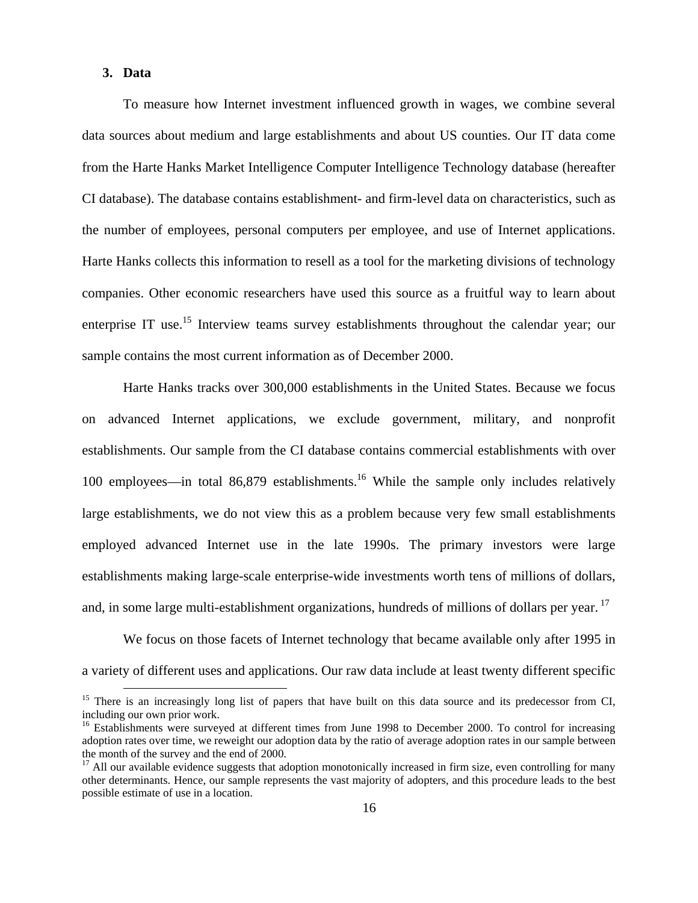### **3. Data**

To measure how Internet investment influenced growth in wages, we combine several data sources about medium and large establishments and about US counties. Our IT data come from the Harte Hanks Market Intelligence Computer Intelligence Technology database (hereafter CI database). The database contains establishment- and firm-level data on characteristics, such as the number of employees, personal computers per employee, and use of Internet applications. Harte Hanks collects this information to resell as a tool for the marketing divisions of technology companies. Other economic researchers have used this source as a fruitful way to learn about enterprise IT use.<sup>15</sup> Interview teams survey establishments throughout the calendar year; our sample contains the most current information as of December 2000.

Harte Hanks tracks over 300,000 establishments in the United States. Because we focus on advanced Internet applications, we exclude government, military, and nonprofit establishments. Our sample from the CI database contains commercial establishments with over 100 employees—in total 86,879 establishments.<sup>16</sup> While the sample only includes relatively large establishments, we do not view this as a problem because very few small establishments employed advanced Internet use in the late 1990s. The primary investors were large establishments making large-scale enterprise-wide investments worth tens of millions of dollars, and, in some large multi-establishment organizations, hundreds of millions of dollars per year. <sup>17</sup>

We focus on those facets of Internet technology that became available only after 1995 in a variety of different uses and applications. Our raw data include at least twenty different specific

<sup>&</sup>lt;sup>15</sup> There is an increasingly long list of papers that have built on this data source and its predecessor from CI, including our own prior work.

<sup>&</sup>lt;sup>16</sup> Establishments were surveyed at different times from June 1998 to December 2000. To control for increasing adoption rates over time, we reweight our adoption data by the ratio of average adoption rates in our sample between the month of the survey and the end of 2000.

 $17$  All our available evidence suggests that adoption monotonically increased in firm size, even controlling for many other determinants. Hence, our sample represents the vast majority of adopters, and this procedure leads to the best possible estimate of use in a location.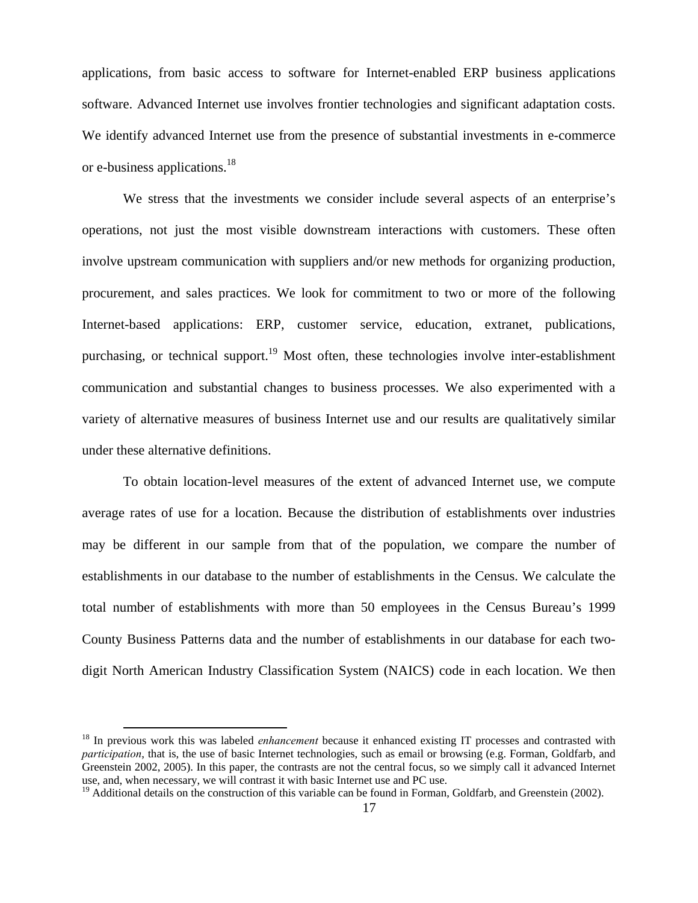applications, from basic access to software for Internet-enabled ERP business applications software. Advanced Internet use involves frontier technologies and significant adaptation costs. We identify advanced Internet use from the presence of substantial investments in e-commerce or e-business applications.<sup>18</sup>

We stress that the investments we consider include several aspects of an enterprise's operations, not just the most visible downstream interactions with customers. These often involve upstream communication with suppliers and/or new methods for organizing production, procurement, and sales practices. We look for commitment to two or more of the following Internet-based applications: ERP, customer service, education, extranet, publications, purchasing, or technical support.<sup>19</sup> Most often, these technologies involve inter-establishment communication and substantial changes to business processes. We also experimented with a variety of alternative measures of business Internet use and our results are qualitatively similar under these alternative definitions.

To obtain location-level measures of the extent of advanced Internet use, we compute average rates of use for a location. Because the distribution of establishments over industries may be different in our sample from that of the population, we compare the number of establishments in our database to the number of establishments in the Census. We calculate the total number of establishments with more than 50 employees in the Census Bureau's 1999 County Business Patterns data and the number of establishments in our database for each twodigit North American Industry Classification System (NAICS) code in each location. We then

<sup>&</sup>lt;sup>18</sup> In previous work this was labeled *enhancement* because it enhanced existing IT processes and contrasted with *participation*, that is, the use of basic Internet technologies, such as email or browsing (e.g. Forman, Goldfarb, and Greenstein 2002, 2005). In this paper, the contrasts are not the central focus, so we simply call it advanced Internet use, and, when necessary, we will contrast it with basic Internet use and PC use.

<sup>&</sup>lt;sup>19</sup> Additional details on the construction of this variable can be found in Forman, Goldfarb, and Greenstein (2002).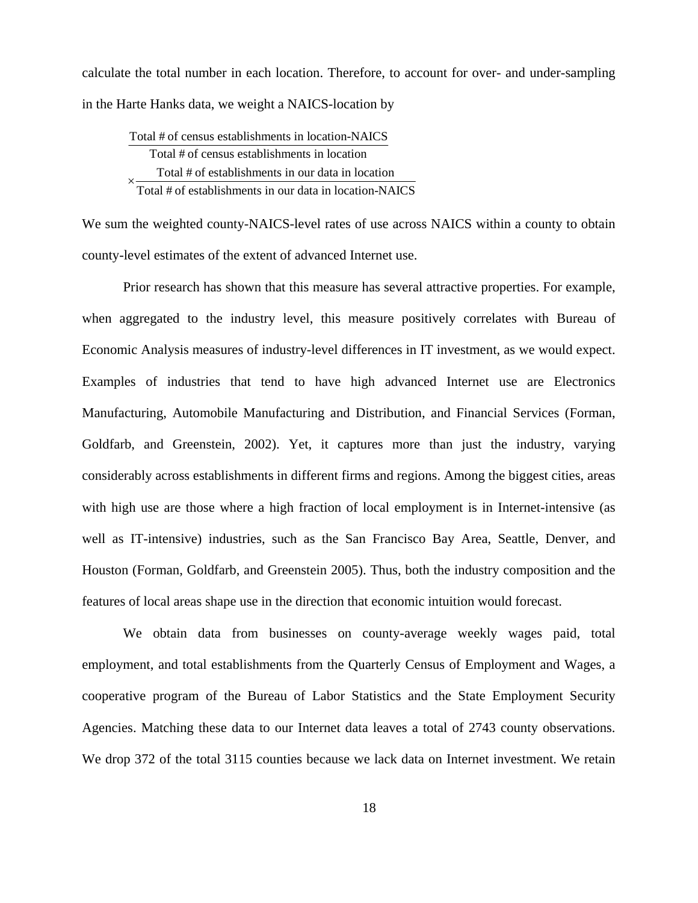calculate the total number in each location. Therefore, to account for over- and under-sampling in the Harte Hanks data, we weight a NAICS-location by

Total # of census establishments in location-NAICS Total # of census establishments in location Total # of establishments in our data in location Total # of establishments in our data in location-NAICS ×

We sum the weighted county-NAICS-level rates of use across NAICS within a county to obtain county-level estimates of the extent of advanced Internet use.

Prior research has shown that this measure has several attractive properties. For example, when aggregated to the industry level, this measure positively correlates with Bureau of Economic Analysis measures of industry-level differences in IT investment, as we would expect. Examples of industries that tend to have high advanced Internet use are Electronics Manufacturing, Automobile Manufacturing and Distribution, and Financial Services (Forman, Goldfarb, and Greenstein, 2002). Yet, it captures more than just the industry, varying considerably across establishments in different firms and regions. Among the biggest cities, areas with high use are those where a high fraction of local employment is in Internet-intensive (as well as IT-intensive) industries, such as the San Francisco Bay Area, Seattle, Denver, and Houston (Forman, Goldfarb, and Greenstein 2005). Thus, both the industry composition and the features of local areas shape use in the direction that economic intuition would forecast.

We obtain data from businesses on county-average weekly wages paid, total employment, and total establishments from the Quarterly Census of Employment and Wages, a cooperative program of the Bureau of Labor Statistics and the State Employment Security Agencies. Matching these data to our Internet data leaves a total of 2743 county observations. We drop 372 of the total 3115 counties because we lack data on Internet investment. We retain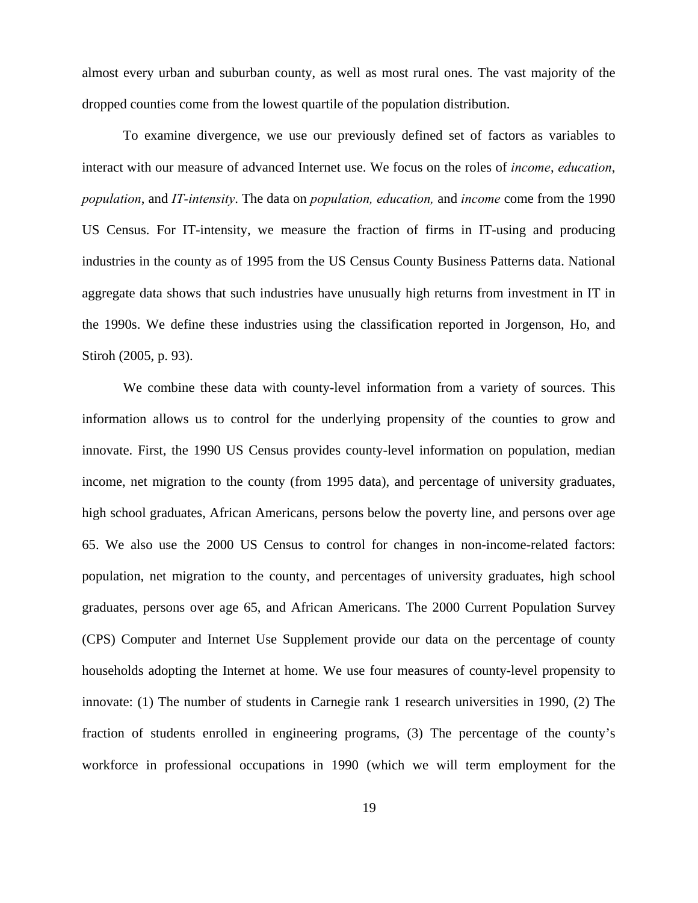almost every urban and suburban county, as well as most rural ones. The vast majority of the dropped counties come from the lowest quartile of the population distribution.

To examine divergence, we use our previously defined set of factors as variables to interact with our measure of advanced Internet use. We focus on the roles of *income*, *education*, *population*, and *IT-intensity*. The data on *population, education,* and *income* come from the 1990 US Census. For IT-intensity, we measure the fraction of firms in IT-using and producing industries in the county as of 1995 from the US Census County Business Patterns data. National aggregate data shows that such industries have unusually high returns from investment in IT in the 1990s. We define these industries using the classification reported in Jorgenson, Ho, and Stiroh (2005, p. 93).

We combine these data with county-level information from a variety of sources. This information allows us to control for the underlying propensity of the counties to grow and innovate. First, the 1990 US Census provides county-level information on population, median income, net migration to the county (from 1995 data), and percentage of university graduates, high school graduates, African Americans, persons below the poverty line, and persons over age 65. We also use the 2000 US Census to control for changes in non-income-related factors: population, net migration to the county, and percentages of university graduates, high school graduates, persons over age 65, and African Americans. The 2000 Current Population Survey (CPS) Computer and Internet Use Supplement provide our data on the percentage of county households adopting the Internet at home. We use four measures of county-level propensity to innovate: (1) The number of students in Carnegie rank 1 research universities in 1990, (2) The fraction of students enrolled in engineering programs, (3) The percentage of the county's workforce in professional occupations in 1990 (which we will term employment for the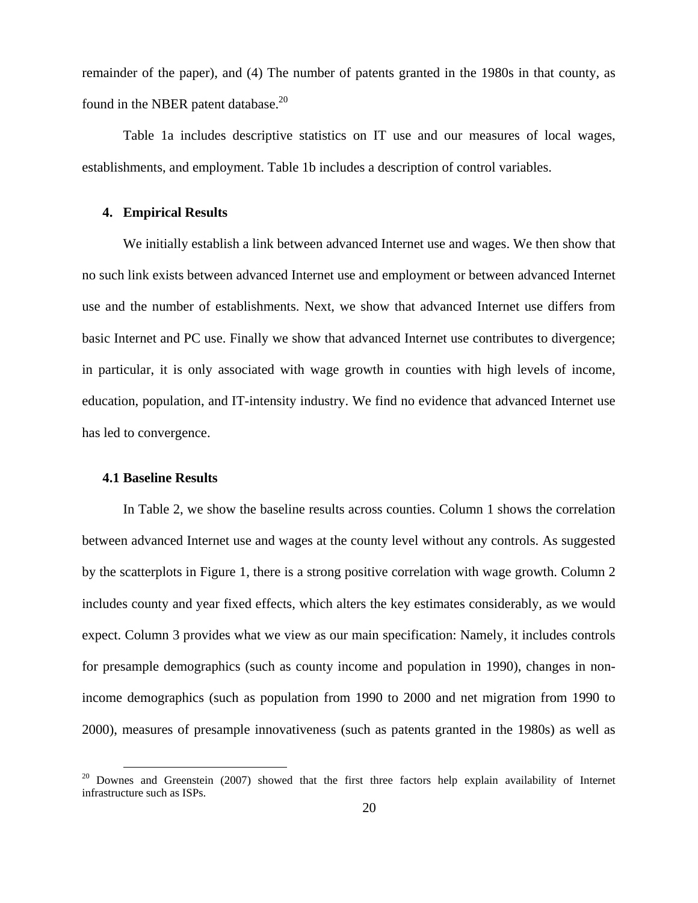remainder of the paper), and (4) The number of patents granted in the 1980s in that county, as found in the NBER patent database.<sup>20</sup>

Table 1a includes descriptive statistics on IT use and our measures of local wages, establishments, and employment. Table 1b includes a description of control variables.

### **4. Empirical Results**

We initially establish a link between advanced Internet use and wages. We then show that no such link exists between advanced Internet use and employment or between advanced Internet use and the number of establishments. Next, we show that advanced Internet use differs from basic Internet and PC use. Finally we show that advanced Internet use contributes to divergence; in particular, it is only associated with wage growth in counties with high levels of income, education, population, and IT-intensity industry. We find no evidence that advanced Internet use has led to convergence.

# **4.1 Baseline Results**

In Table 2, we show the baseline results across counties. Column 1 shows the correlation between advanced Internet use and wages at the county level without any controls. As suggested by the scatterplots in Figure 1, there is a strong positive correlation with wage growth. Column 2 includes county and year fixed effects, which alters the key estimates considerably, as we would expect. Column 3 provides what we view as our main specification: Namely, it includes controls for presample demographics (such as county income and population in 1990), changes in nonincome demographics (such as population from 1990 to 2000 and net migration from 1990 to 2000), measures of presample innovativeness (such as patents granted in the 1980s) as well as

 $20$  Downes and Greenstein (2007) showed that the first three factors help explain availability of Internet infrastructure such as ISPs.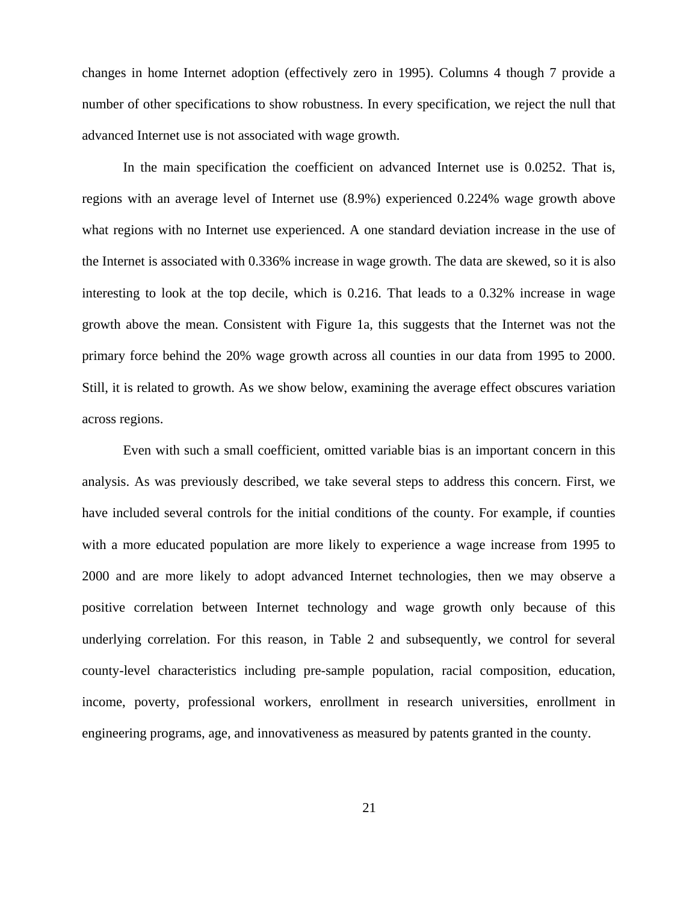changes in home Internet adoption (effectively zero in 1995). Columns 4 though 7 provide a number of other specifications to show robustness. In every specification, we reject the null that advanced Internet use is not associated with wage growth.

In the main specification the coefficient on advanced Internet use is 0.0252. That is, regions with an average level of Internet use (8.9%) experienced 0.224% wage growth above what regions with no Internet use experienced. A one standard deviation increase in the use of the Internet is associated with 0.336% increase in wage growth. The data are skewed, so it is also interesting to look at the top decile, which is 0.216. That leads to a 0.32% increase in wage growth above the mean. Consistent with Figure 1a, this suggests that the Internet was not the primary force behind the 20% wage growth across all counties in our data from 1995 to 2000. Still, it is related to growth. As we show below, examining the average effect obscures variation across regions.

Even with such a small coefficient, omitted variable bias is an important concern in this analysis. As was previously described, we take several steps to address this concern. First, we have included several controls for the initial conditions of the county. For example, if counties with a more educated population are more likely to experience a wage increase from 1995 to 2000 and are more likely to adopt advanced Internet technologies, then we may observe a positive correlation between Internet technology and wage growth only because of this underlying correlation. For this reason, in Table 2 and subsequently, we control for several county-level characteristics including pre-sample population, racial composition, education, income, poverty, professional workers, enrollment in research universities, enrollment in engineering programs, age, and innovativeness as measured by patents granted in the county.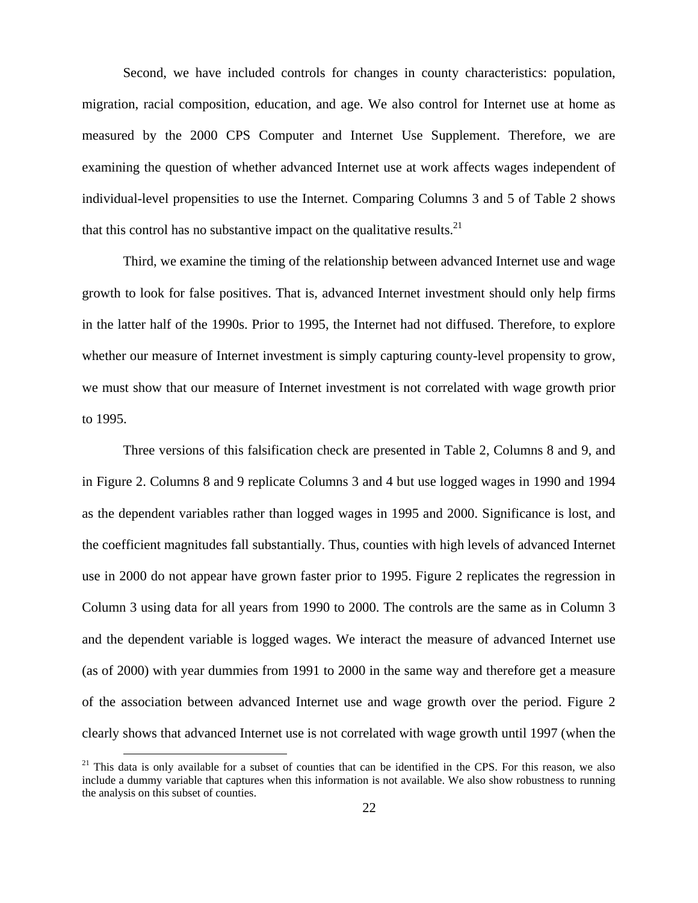Second, we have included controls for changes in county characteristics: population, migration, racial composition, education, and age. We also control for Internet use at home as measured by the 2000 CPS Computer and Internet Use Supplement. Therefore, we are examining the question of whether advanced Internet use at work affects wages independent of individual-level propensities to use the Internet. Comparing Columns 3 and 5 of Table 2 shows that this control has no substantive impact on the qualitative results.<sup>21</sup>

Third, we examine the timing of the relationship between advanced Internet use and wage growth to look for false positives. That is, advanced Internet investment should only help firms in the latter half of the 1990s. Prior to 1995, the Internet had not diffused. Therefore, to explore whether our measure of Internet investment is simply capturing county-level propensity to grow, we must show that our measure of Internet investment is not correlated with wage growth prior to 1995.

Three versions of this falsification check are presented in Table 2, Columns 8 and 9, and in Figure 2. Columns 8 and 9 replicate Columns 3 and 4 but use logged wages in 1990 and 1994 as the dependent variables rather than logged wages in 1995 and 2000. Significance is lost, and the coefficient magnitudes fall substantially. Thus, counties with high levels of advanced Internet use in 2000 do not appear have grown faster prior to 1995. Figure 2 replicates the regression in Column 3 using data for all years from 1990 to 2000. The controls are the same as in Column 3 and the dependent variable is logged wages. We interact the measure of advanced Internet use (as of 2000) with year dummies from 1991 to 2000 in the same way and therefore get a measure of the association between advanced Internet use and wage growth over the period. Figure 2 clearly shows that advanced Internet use is not correlated with wage growth until 1997 (when the

 $21$  This data is only available for a subset of counties that can be identified in the CPS. For this reason, we also include a dummy variable that captures when this information is not available. We also show robustness to running the analysis on this subset of counties.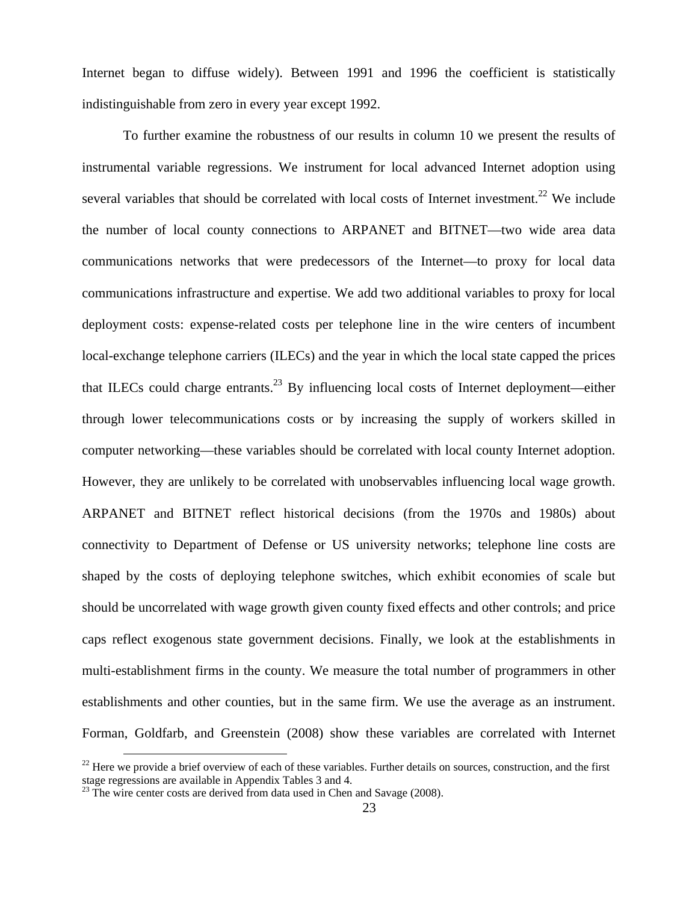Internet began to diffuse widely). Between 1991 and 1996 the coefficient is statistically indistinguishable from zero in every year except 1992.

To further examine the robustness of our results in column 10 we present the results of instrumental variable regressions. We instrument for local advanced Internet adoption using several variables that should be correlated with local costs of Internet investment.<sup>22</sup> We include the number of local county connections to ARPANET and BITNET—two wide area data communications networks that were predecessors of the Internet—to proxy for local data communications infrastructure and expertise. We add two additional variables to proxy for local deployment costs: expense-related costs per telephone line in the wire centers of incumbent local-exchange telephone carriers (ILECs) and the year in which the local state capped the prices that ILECs could charge entrants.<sup>23</sup> By influencing local costs of Internet deployment—either through lower telecommunications costs or by increasing the supply of workers skilled in computer networking—these variables should be correlated with local county Internet adoption. However, they are unlikely to be correlated with unobservables influencing local wage growth. ARPANET and BITNET reflect historical decisions (from the 1970s and 1980s) about connectivity to Department of Defense or US university networks; telephone line costs are shaped by the costs of deploying telephone switches, which exhibit economies of scale but should be uncorrelated with wage growth given county fixed effects and other controls; and price caps reflect exogenous state government decisions. Finally, we look at the establishments in multi-establishment firms in the county. We measure the total number of programmers in other establishments and other counties, but in the same firm. We use the average as an instrument. Forman, Goldfarb, and Greenstein (2008) show these variables are correlated with Internet

 $^{22}$  Here we provide a brief overview of each of these variables. Further details on sources, construction, and the first stage regressions are available in Appendix Tables 3 and 4.

 $^{23}$  The wire center costs are derived from data used in Chen and Savage (2008).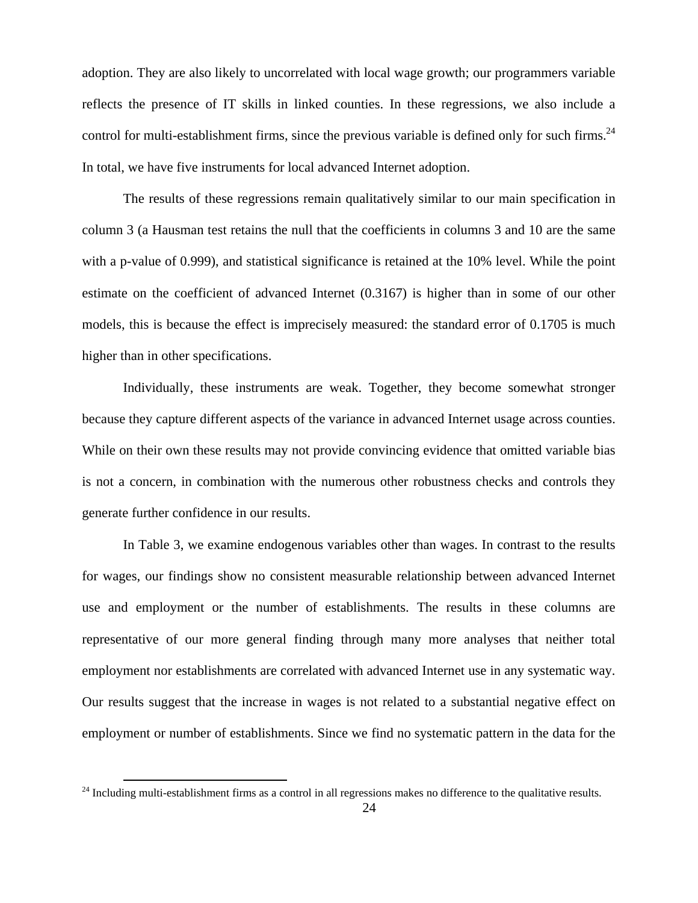adoption. They are also likely to uncorrelated with local wage growth; our programmers variable reflects the presence of IT skills in linked counties. In these regressions, we also include a control for multi-establishment firms, since the previous variable is defined only for such firms.<sup>24</sup> In total, we have five instruments for local advanced Internet adoption.

The results of these regressions remain qualitatively similar to our main specification in column 3 (a Hausman test retains the null that the coefficients in columns 3 and 10 are the same with a p-value of 0.999), and statistical significance is retained at the 10% level. While the point estimate on the coefficient of advanced Internet (0.3167) is higher than in some of our other models, this is because the effect is imprecisely measured: the standard error of 0.1705 is much higher than in other specifications.

Individually, these instruments are weak. Together, they become somewhat stronger because they capture different aspects of the variance in advanced Internet usage across counties. While on their own these results may not provide convincing evidence that omitted variable bias is not a concern, in combination with the numerous other robustness checks and controls they generate further confidence in our results.

In Table 3, we examine endogenous variables other than wages. In contrast to the results for wages, our findings show no consistent measurable relationship between advanced Internet use and employment or the number of establishments. The results in these columns are representative of our more general finding through many more analyses that neither total employment nor establishments are correlated with advanced Internet use in any systematic way. Our results suggest that the increase in wages is not related to a substantial negative effect on employment or number of establishments. Since we find no systematic pattern in the data for the

 $24$  Including multi-establishment firms as a control in all regressions makes no difference to the qualitative results.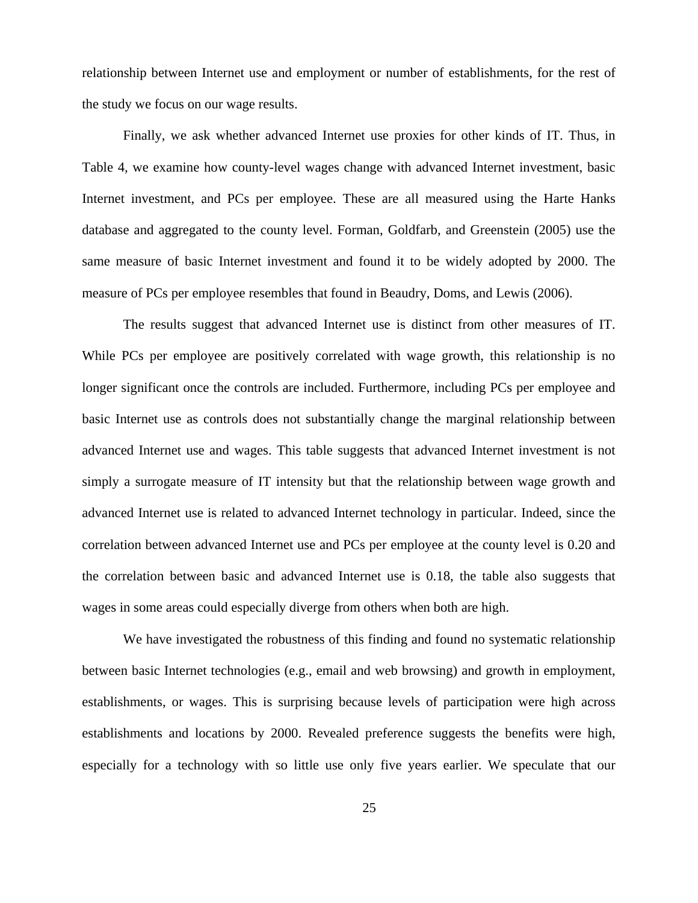relationship between Internet use and employment or number of establishments, for the rest of the study we focus on our wage results.

Finally, we ask whether advanced Internet use proxies for other kinds of IT. Thus, in Table 4, we examine how county-level wages change with advanced Internet investment, basic Internet investment, and PCs per employee. These are all measured using the Harte Hanks database and aggregated to the county level. Forman, Goldfarb, and Greenstein (2005) use the same measure of basic Internet investment and found it to be widely adopted by 2000. The measure of PCs per employee resembles that found in Beaudry, Doms, and Lewis (2006).

The results suggest that advanced Internet use is distinct from other measures of IT. While PCs per employee are positively correlated with wage growth, this relationship is no longer significant once the controls are included. Furthermore, including PCs per employee and basic Internet use as controls does not substantially change the marginal relationship between advanced Internet use and wages. This table suggests that advanced Internet investment is not simply a surrogate measure of IT intensity but that the relationship between wage growth and advanced Internet use is related to advanced Internet technology in particular. Indeed, since the correlation between advanced Internet use and PCs per employee at the county level is 0.20 and the correlation between basic and advanced Internet use is 0.18, the table also suggests that wages in some areas could especially diverge from others when both are high.

We have investigated the robustness of this finding and found no systematic relationship between basic Internet technologies (e.g., email and web browsing) and growth in employment, establishments, or wages. This is surprising because levels of participation were high across establishments and locations by 2000. Revealed preference suggests the benefits were high, especially for a technology with so little use only five years earlier. We speculate that our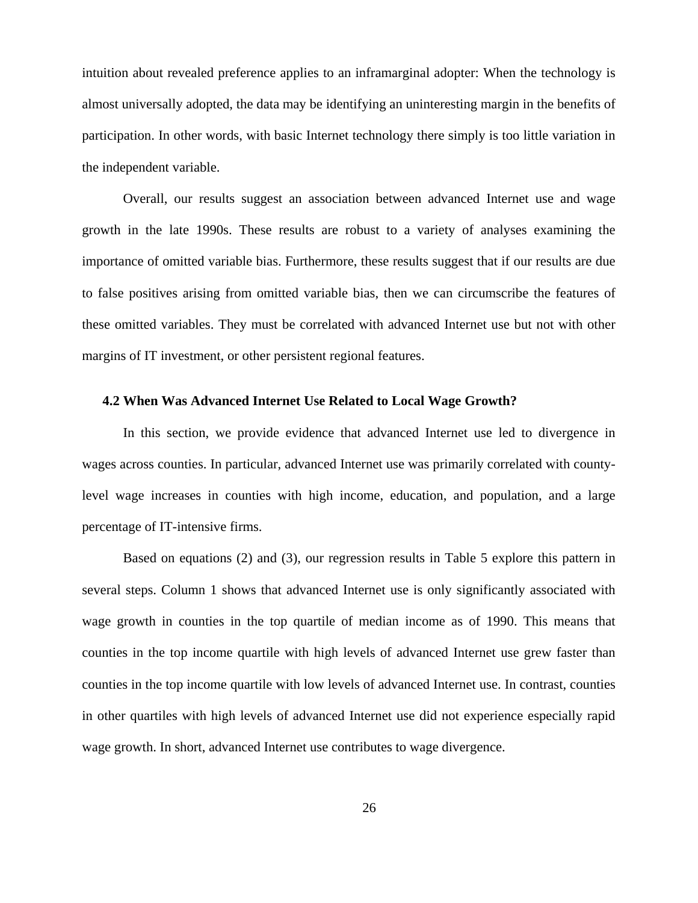intuition about revealed preference applies to an inframarginal adopter: When the technology is almost universally adopted, the data may be identifying an uninteresting margin in the benefits of participation. In other words, with basic Internet technology there simply is too little variation in the independent variable.

Overall, our results suggest an association between advanced Internet use and wage growth in the late 1990s. These results are robust to a variety of analyses examining the importance of omitted variable bias. Furthermore, these results suggest that if our results are due to false positives arising from omitted variable bias, then we can circumscribe the features of these omitted variables. They must be correlated with advanced Internet use but not with other margins of IT investment, or other persistent regional features.

### **4.2 When Was Advanced Internet Use Related to Local Wage Growth?**

In this section, we provide evidence that advanced Internet use led to divergence in wages across counties. In particular, advanced Internet use was primarily correlated with countylevel wage increases in counties with high income, education, and population, and a large percentage of IT-intensive firms.

Based on equations (2) and (3), our regression results in Table 5 explore this pattern in several steps. Column 1 shows that advanced Internet use is only significantly associated with wage growth in counties in the top quartile of median income as of 1990. This means that counties in the top income quartile with high levels of advanced Internet use grew faster than counties in the top income quartile with low levels of advanced Internet use. In contrast, counties in other quartiles with high levels of advanced Internet use did not experience especially rapid wage growth. In short, advanced Internet use contributes to wage divergence.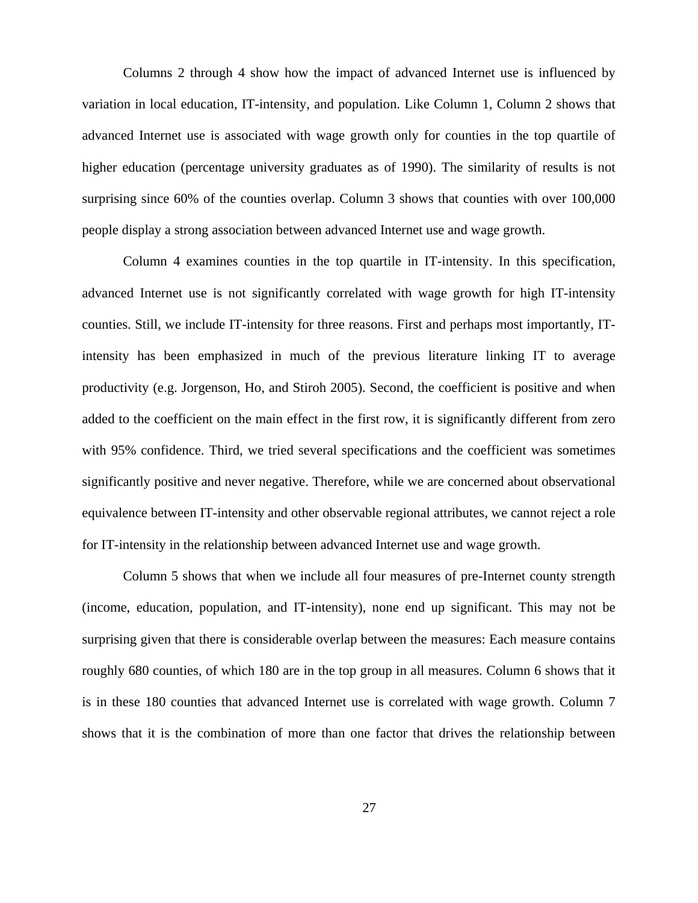Columns 2 through 4 show how the impact of advanced Internet use is influenced by variation in local education, IT-intensity, and population. Like Column 1, Column 2 shows that advanced Internet use is associated with wage growth only for counties in the top quartile of higher education (percentage university graduates as of 1990). The similarity of results is not surprising since 60% of the counties overlap. Column 3 shows that counties with over 100,000 people display a strong association between advanced Internet use and wage growth.

Column 4 examines counties in the top quartile in IT-intensity. In this specification, advanced Internet use is not significantly correlated with wage growth for high IT-intensity counties. Still, we include IT-intensity for three reasons. First and perhaps most importantly, ITintensity has been emphasized in much of the previous literature linking IT to average productivity (e.g. Jorgenson, Ho, and Stiroh 2005). Second, the coefficient is positive and when added to the coefficient on the main effect in the first row, it is significantly different from zero with 95% confidence. Third, we tried several specifications and the coefficient was sometimes significantly positive and never negative. Therefore, while we are concerned about observational equivalence between IT-intensity and other observable regional attributes, we cannot reject a role for IT-intensity in the relationship between advanced Internet use and wage growth.

Column 5 shows that when we include all four measures of pre-Internet county strength (income, education, population, and IT-intensity), none end up significant. This may not be surprising given that there is considerable overlap between the measures: Each measure contains roughly 680 counties, of which 180 are in the top group in all measures. Column 6 shows that it is in these 180 counties that advanced Internet use is correlated with wage growth. Column 7 shows that it is the combination of more than one factor that drives the relationship between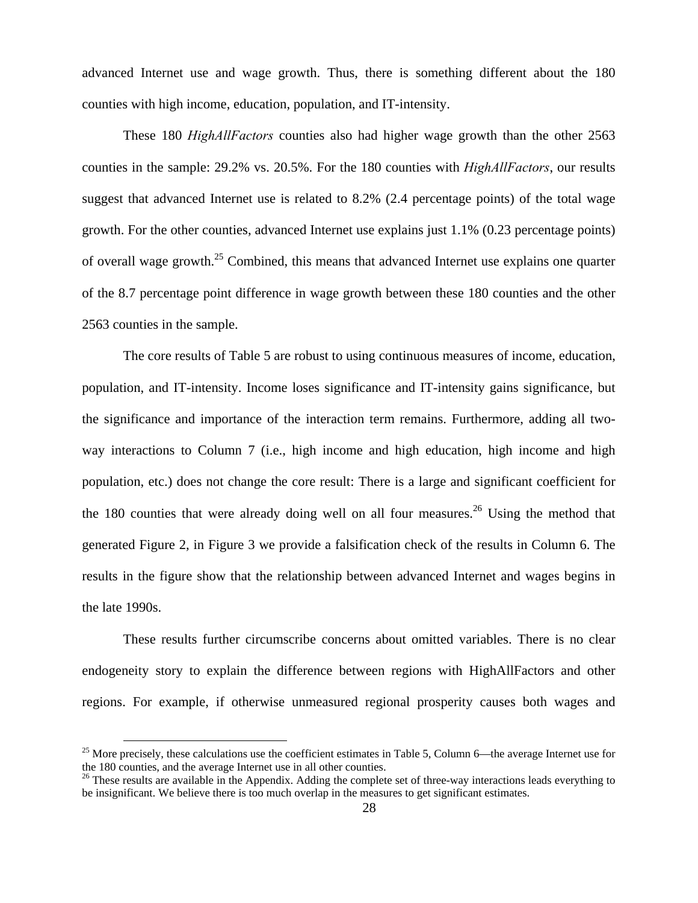advanced Internet use and wage growth. Thus, there is something different about the 180 counties with high income, education, population, and IT-intensity.

These 180 *HighAllFactors* counties also had higher wage growth than the other 2563 counties in the sample: 29.2% vs. 20.5%. For the 180 counties with *HighAllFactors*, our results suggest that advanced Internet use is related to 8.2% (2.4 percentage points) of the total wage growth. For the other counties, advanced Internet use explains just 1.1% (0.23 percentage points) of overall wage growth.<sup>25</sup> Combined, this means that advanced Internet use explains one quarter of the 8.7 percentage point difference in wage growth between these 180 counties and the other 2563 counties in the sample.

The core results of Table 5 are robust to using continuous measures of income, education, population, and IT-intensity. Income loses significance and IT-intensity gains significance, but the significance and importance of the interaction term remains. Furthermore, adding all twoway interactions to Column 7 (i.e., high income and high education, high income and high population, etc.) does not change the core result: There is a large and significant coefficient for the 180 counties that were already doing well on all four measures.<sup>26</sup> Using the method that generated Figure 2, in Figure 3 we provide a falsification check of the results in Column 6. The results in the figure show that the relationship between advanced Internet and wages begins in the late 1990s.

These results further circumscribe concerns about omitted variables. There is no clear endogeneity story to explain the difference between regions with HighAllFactors and other regions. For example, if otherwise unmeasured regional prosperity causes both wages and

<sup>&</sup>lt;sup>25</sup> More precisely, these calculations use the coefficient estimates in Table 5, Column 6—the average Internet use for the 180 counties, and the average Internet use in all other counties.

<sup>&</sup>lt;sup>26</sup> These results are available in the Appendix. Adding the complete set of three-way interactions leads everything to be insignificant. We believe there is too much overlap in the measures to get significant estimates.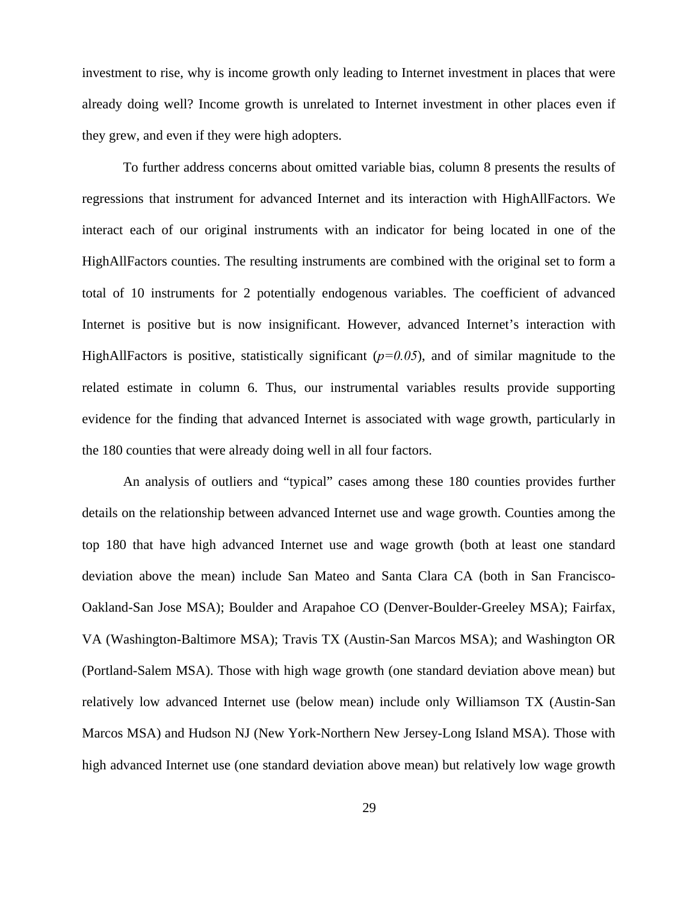investment to rise, why is income growth only leading to Internet investment in places that were already doing well? Income growth is unrelated to Internet investment in other places even if they grew, and even if they were high adopters.

To further address concerns about omitted variable bias, column 8 presents the results of regressions that instrument for advanced Internet and its interaction with HighAllFactors. We interact each of our original instruments with an indicator for being located in one of the HighAllFactors counties. The resulting instruments are combined with the original set to form a total of 10 instruments for 2 potentially endogenous variables. The coefficient of advanced Internet is positive but is now insignificant. However, advanced Internet's interaction with HighAllFactors is positive, statistically significant  $(p=0.05)$ , and of similar magnitude to the related estimate in column 6. Thus, our instrumental variables results provide supporting evidence for the finding that advanced Internet is associated with wage growth, particularly in the 180 counties that were already doing well in all four factors.

An analysis of outliers and "typical" cases among these 180 counties provides further details on the relationship between advanced Internet use and wage growth. Counties among the top 180 that have high advanced Internet use and wage growth (both at least one standard deviation above the mean) include San Mateo and Santa Clara CA (both in San Francisco-Oakland-San Jose MSA); Boulder and Arapahoe CO (Denver-Boulder-Greeley MSA); Fairfax, VA (Washington-Baltimore MSA); Travis TX (Austin-San Marcos MSA); and Washington OR (Portland-Salem MSA). Those with high wage growth (one standard deviation above mean) but relatively low advanced Internet use (below mean) include only Williamson TX (Austin-San Marcos MSA) and Hudson NJ (New York-Northern New Jersey-Long Island MSA). Those with high advanced Internet use (one standard deviation above mean) but relatively low wage growth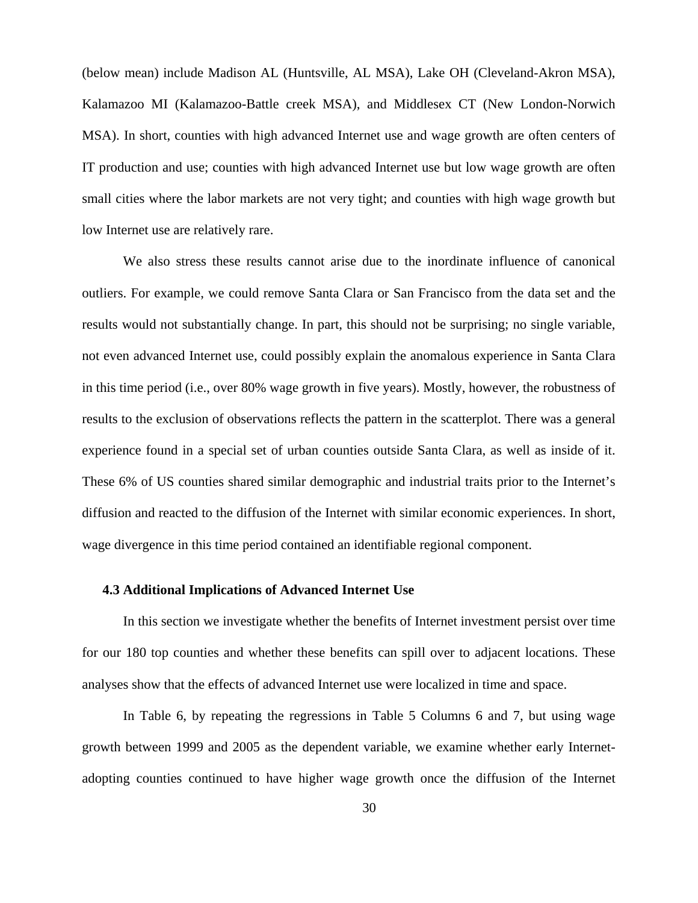(below mean) include Madison AL (Huntsville, AL MSA), Lake OH (Cleveland-Akron MSA), Kalamazoo MI (Kalamazoo-Battle creek MSA), and Middlesex CT (New London-Norwich MSA). In short, counties with high advanced Internet use and wage growth are often centers of IT production and use; counties with high advanced Internet use but low wage growth are often small cities where the labor markets are not very tight; and counties with high wage growth but low Internet use are relatively rare.

We also stress these results cannot arise due to the inordinate influence of canonical outliers. For example, we could remove Santa Clara or San Francisco from the data set and the results would not substantially change. In part, this should not be surprising; no single variable, not even advanced Internet use, could possibly explain the anomalous experience in Santa Clara in this time period (i.e., over 80% wage growth in five years). Mostly, however, the robustness of results to the exclusion of observations reflects the pattern in the scatterplot. There was a general experience found in a special set of urban counties outside Santa Clara, as well as inside of it. These 6% of US counties shared similar demographic and industrial traits prior to the Internet's diffusion and reacted to the diffusion of the Internet with similar economic experiences. In short, wage divergence in this time period contained an identifiable regional component.

#### **4.3 Additional Implications of Advanced Internet Use**

In this section we investigate whether the benefits of Internet investment persist over time for our 180 top counties and whether these benefits can spill over to adjacent locations. These analyses show that the effects of advanced Internet use were localized in time and space.

In Table 6, by repeating the regressions in Table 5 Columns 6 and 7, but using wage growth between 1999 and 2005 as the dependent variable, we examine whether early Internetadopting counties continued to have higher wage growth once the diffusion of the Internet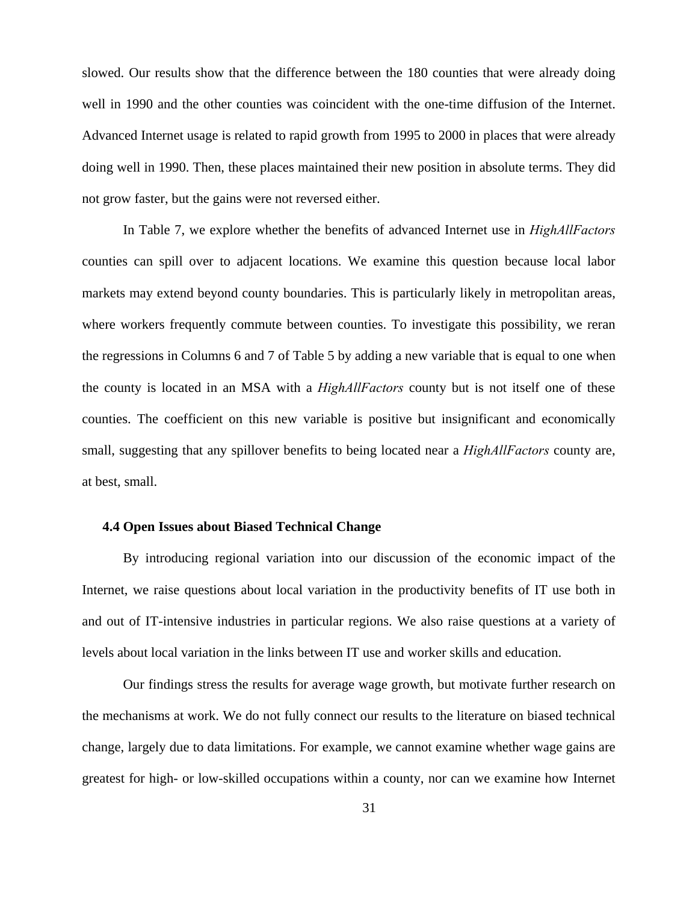slowed. Our results show that the difference between the 180 counties that were already doing well in 1990 and the other counties was coincident with the one-time diffusion of the Internet. Advanced Internet usage is related to rapid growth from 1995 to 2000 in places that were already doing well in 1990. Then, these places maintained their new position in absolute terms. They did not grow faster, but the gains were not reversed either.

In Table 7, we explore whether the benefits of advanced Internet use in *HighAllFactors*  counties can spill over to adjacent locations. We examine this question because local labor markets may extend beyond county boundaries. This is particularly likely in metropolitan areas, where workers frequently commute between counties. To investigate this possibility, we reran the regressions in Columns 6 and 7 of Table 5 by adding a new variable that is equal to one when the county is located in an MSA with a *HighAllFactors* county but is not itself one of these counties. The coefficient on this new variable is positive but insignificant and economically small, suggesting that any spillover benefits to being located near a *HighAllFactors* county are, at best, small.

## **4.4 Open Issues about Biased Technical Change**

By introducing regional variation into our discussion of the economic impact of the Internet, we raise questions about local variation in the productivity benefits of IT use both in and out of IT-intensive industries in particular regions. We also raise questions at a variety of levels about local variation in the links between IT use and worker skills and education.

Our findings stress the results for average wage growth, but motivate further research on the mechanisms at work. We do not fully connect our results to the literature on biased technical change, largely due to data limitations. For example, we cannot examine whether wage gains are greatest for high- or low-skilled occupations within a county, nor can we examine how Internet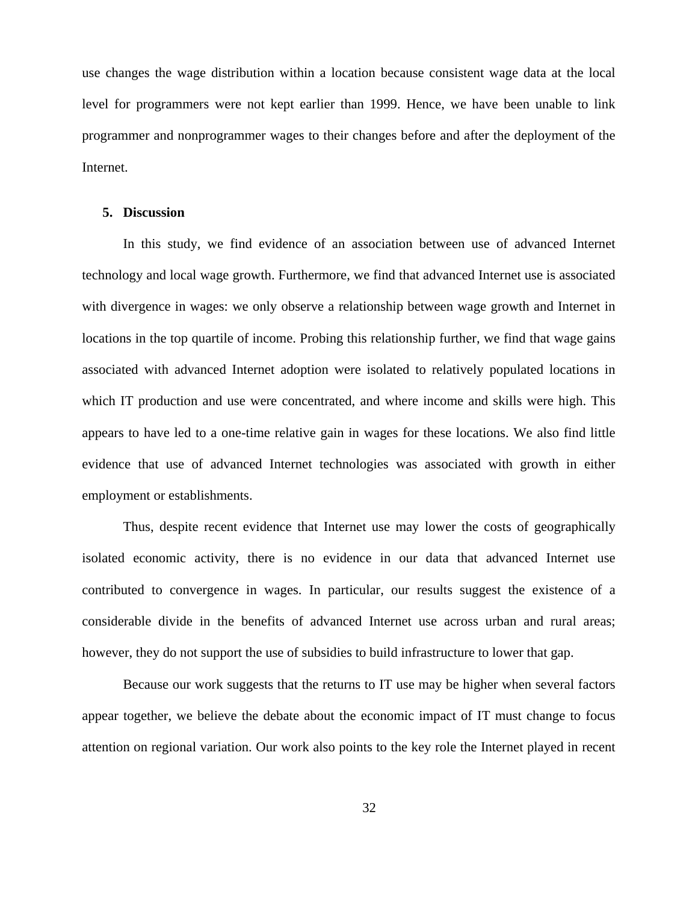use changes the wage distribution within a location because consistent wage data at the local level for programmers were not kept earlier than 1999. Hence, we have been unable to link programmer and nonprogrammer wages to their changes before and after the deployment of the Internet.

#### **5. Discussion**

In this study, we find evidence of an association between use of advanced Internet technology and local wage growth. Furthermore, we find that advanced Internet use is associated with divergence in wages: we only observe a relationship between wage growth and Internet in locations in the top quartile of income. Probing this relationship further, we find that wage gains associated with advanced Internet adoption were isolated to relatively populated locations in which IT production and use were concentrated, and where income and skills were high. This appears to have led to a one-time relative gain in wages for these locations. We also find little evidence that use of advanced Internet technologies was associated with growth in either employment or establishments.

Thus, despite recent evidence that Internet use may lower the costs of geographically isolated economic activity, there is no evidence in our data that advanced Internet use contributed to convergence in wages. In particular, our results suggest the existence of a considerable divide in the benefits of advanced Internet use across urban and rural areas; however, they do not support the use of subsidies to build infrastructure to lower that gap.

Because our work suggests that the returns to IT use may be higher when several factors appear together, we believe the debate about the economic impact of IT must change to focus attention on regional variation. Our work also points to the key role the Internet played in recent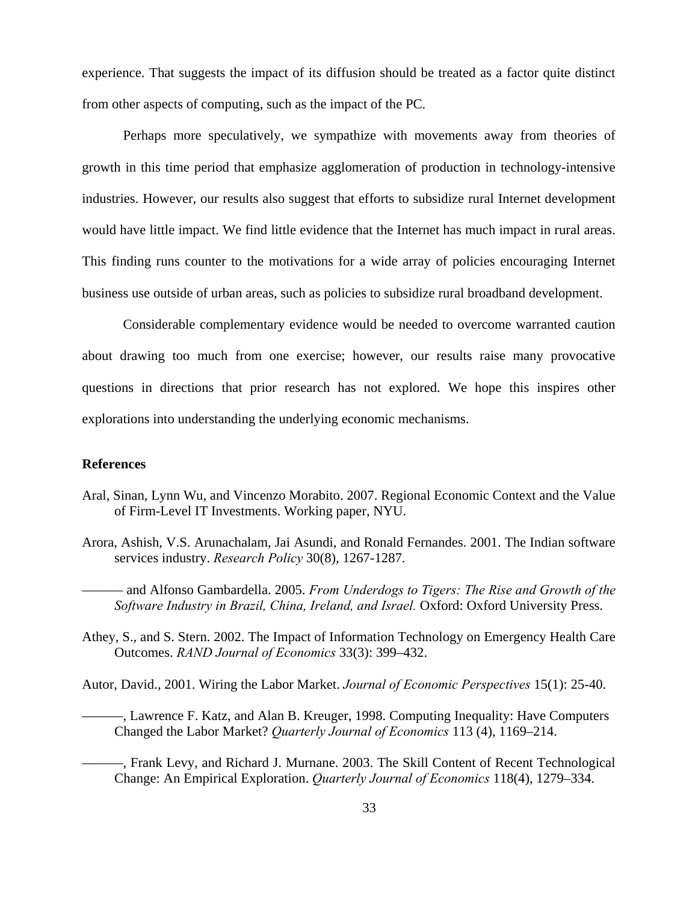experience. That suggests the impact of its diffusion should be treated as a factor quite distinct from other aspects of computing, such as the impact of the PC.

Perhaps more speculatively, we sympathize with movements away from theories of growth in this time period that emphasize agglomeration of production in technology-intensive industries. However, our results also suggest that efforts to subsidize rural Internet development would have little impact. We find little evidence that the Internet has much impact in rural areas. This finding runs counter to the motivations for a wide array of policies encouraging Internet business use outside of urban areas, such as policies to subsidize rural broadband development.

Considerable complementary evidence would be needed to overcome warranted caution about drawing too much from one exercise; however, our results raise many provocative questions in directions that prior research has not explored. We hope this inspires other explorations into understanding the underlying economic mechanisms.

# **References**

- Aral, Sinan, Lynn Wu, and Vincenzo Morabito. 2007. Regional Economic Context and the Value of Firm-Level IT Investments. Working paper, NYU.
- Arora, Ashish, V.S. Arunachalam, Jai Asundi, and Ronald Fernandes. 2001. The Indian software services industry. *Research Policy* 30(8), 1267-1287.
	- ——— and Alfonso Gambardella. 2005. *From Underdogs to Tigers: The Rise and Growth of the*  Software Industry in Brazil, China, Ireland, and Israel, Oxford: Oxford University Press.
- Athey, S., and S. Stern. 2002. The Impact of Information Technology on Emergency Health Care Outcomes. *RAND Journal of Economics* 33(3): 399–432.
- Autor, David., 2001. Wiring the Labor Market. *Journal of Economic Perspectives* 15(1): 25-40.
	- ———, Lawrence F. Katz, and Alan B. Kreuger, 1998. Computing Inequality: Have Computers Changed the Labor Market? *Quarterly Journal of Economics* 113 (4), 1169–214.
	- ———, Frank Levy, and Richard J. Murnane. 2003. The Skill Content of Recent Technological Change: An Empirical Exploration. *Quarterly Journal of Economics* 118(4), 1279–334.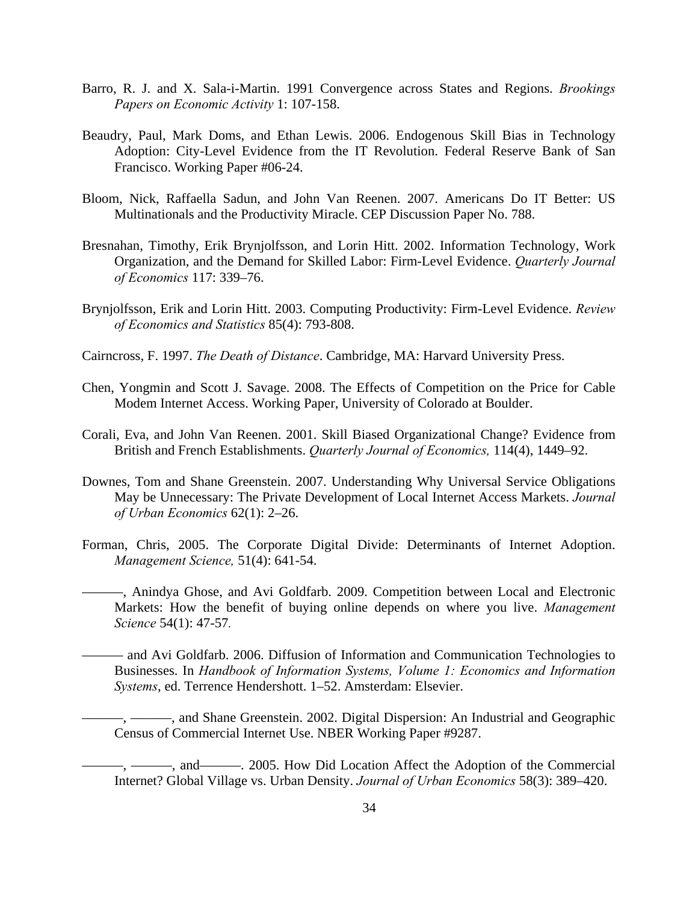- Barro, R. J. and X. Sala-i-Martin. 1991 Convergence across States and Regions. *Brookings Papers on Economic Activity* 1: 107-158.
- Beaudry, Paul, Mark Doms, and Ethan Lewis. 2006. Endogenous Skill Bias in Technology Adoption: City-Level Evidence from the IT Revolution. Federal Reserve Bank of San Francisco. Working Paper #06-24.
- Bloom, Nick, Raffaella Sadun, and John Van Reenen. 2007. Americans Do IT Better: US Multinationals and the Productivity Miracle. CEP Discussion Paper No. 788.
- Bresnahan, Timothy, Erik Brynjolfsson, and Lorin Hitt. 2002. Information Technology, Work Organization, and the Demand for Skilled Labor: Firm-Level Evidence. *Quarterly Journal of Economics* 117: 339–76.
- Brynjolfsson, Erik and Lorin Hitt. 2003. Computing Productivity: Firm-Level Evidence. *Review of Economics and Statistics* 85(4): 793-808.
- Cairncross, F. 1997. *The Death of Distance*. Cambridge, MA: Harvard University Press.
- Chen, Yongmin and Scott J. Savage. 2008. The Effects of Competition on the Price for Cable Modem Internet Access. Working Paper, University of Colorado at Boulder.
- Corali, Eva, and John Van Reenen. 2001. Skill Biased Organizational Change? Evidence from British and French Establishments. *Quarterly Journal of Economics,* 114(4), 1449–92.
- Downes, Tom and Shane Greenstein. 2007. Understanding Why Universal Service Obligations May be Unnecessary: The Private Development of Local Internet Access Markets. *Journal of Urban Economics* 62(1): 2–26.
- Forman, Chris, 2005. The Corporate Digital Divide: Determinants of Internet Adoption. *Management Science,* 51(4): 641-54.
	- ———, Anindya Ghose, and Avi Goldfarb. 2009. Competition between Local and Electronic Markets: How the benefit of buying online depends on where you live. *Management Science* 54(1): 47-57*.*
	- ——— and Avi Goldfarb. 2006. Diffusion of Information and Communication Technologies to Businesses. In *Handbook of Information Systems, Volume 1: Economics and Information Systems*, ed. Terrence Hendershott. 1–52. Amsterdam: Elsevier.
		- —, and Shane Greenstein. 2002. Digital Dispersion: An Industrial and Geographic Census of Commercial Internet Use. NBER Working Paper #9287.
		- -, and————. 2005. How Did Location Affect the Adoption of the Commercial Internet? Global Village vs. Urban Density. *Journal of Urban Economics* 58(3): 389–420.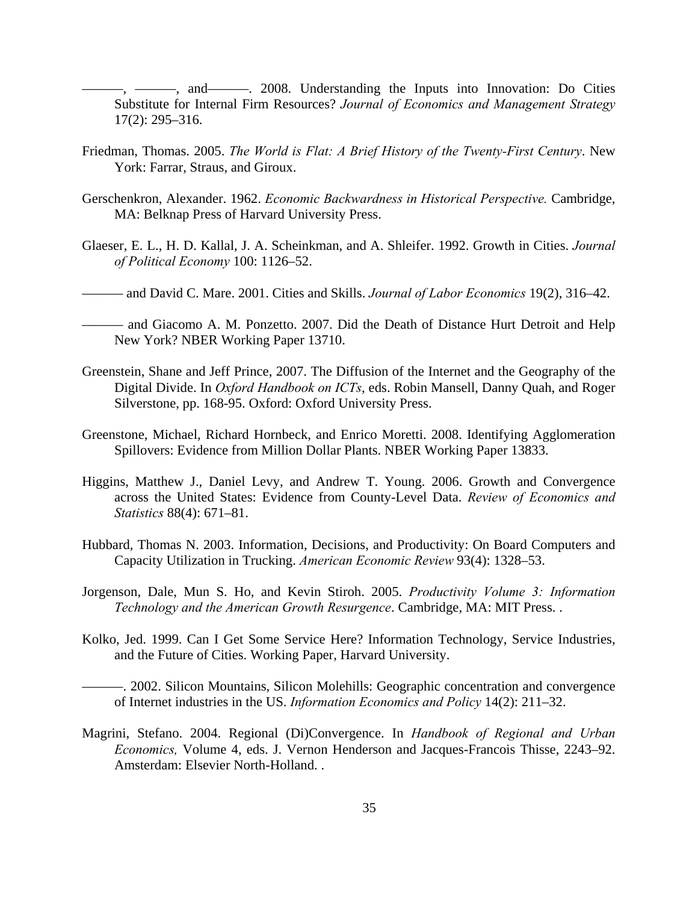——, and———, 2008. Understanding the Inputs into Innovation: Do Cities Substitute for Internal Firm Resources? *Journal of Economics and Management Strategy*  17(2): 295–316.

- Friedman, Thomas. 2005. *The World is Flat: A Brief History of the Twenty-First Century*. New York: Farrar, Straus, and Giroux.
- Gerschenkron, Alexander. 1962. *Economic Backwardness in Historical Perspective.* Cambridge, MA: Belknap Press of Harvard University Press.
- Glaeser, E. L., H. D. Kallal, J. A. Scheinkman, and A. Shleifer. 1992. Growth in Cities. *Journal of Political Economy* 100: 1126–52.
- ——— and David C. Mare. 2001. Cities and Skills. *Journal of Labor Economics* 19(2), 316–42.
- ——— and Giacomo A. M. Ponzetto. 2007. Did the Death of Distance Hurt Detroit and Help New York? NBER Working Paper 13710.
- Greenstein, Shane and Jeff Prince, 2007. The Diffusion of the Internet and the Geography of the Digital Divide. In *Oxford Handbook on ICTs*, eds. Robin Mansell, Danny Quah, and Roger Silverstone, pp. 168-95. Oxford: Oxford University Press.
- Greenstone, Michael, Richard Hornbeck, and Enrico Moretti. 2008. Identifying Agglomeration Spillovers: Evidence from Million Dollar Plants. NBER Working Paper 13833.
- Higgins, Matthew J., Daniel Levy, and Andrew T. Young. 2006. Growth and Convergence across the United States: Evidence from County-Level Data. *Review of Economics and Statistics* 88(4): 671–81.
- Hubbard, Thomas N. 2003. Information, Decisions, and Productivity: On Board Computers and Capacity Utilization in Trucking. *American Economic Review* 93(4): 1328–53.
- Jorgenson, Dale, Mun S. Ho, and Kevin Stiroh. 2005. *Productivity Volume 3: Information Technology and the American Growth Resurgence*. Cambridge, MA: MIT Press. .
- Kolko, Jed. 1999. Can I Get Some Service Here? Information Technology, Service Industries, and the Future of Cities. Working Paper, Harvard University.
	- ———. 2002. Silicon Mountains, Silicon Molehills: Geographic concentration and convergence of Internet industries in the US. *Information Economics and Policy* 14(2): 211–32.
- Magrini, Stefano. 2004. Regional (Di)Convergence. In *Handbook of Regional and Urban Economics,* Volume 4, eds. J. Vernon Henderson and Jacques-Francois Thisse, 2243–92. Amsterdam: Elsevier North-Holland. .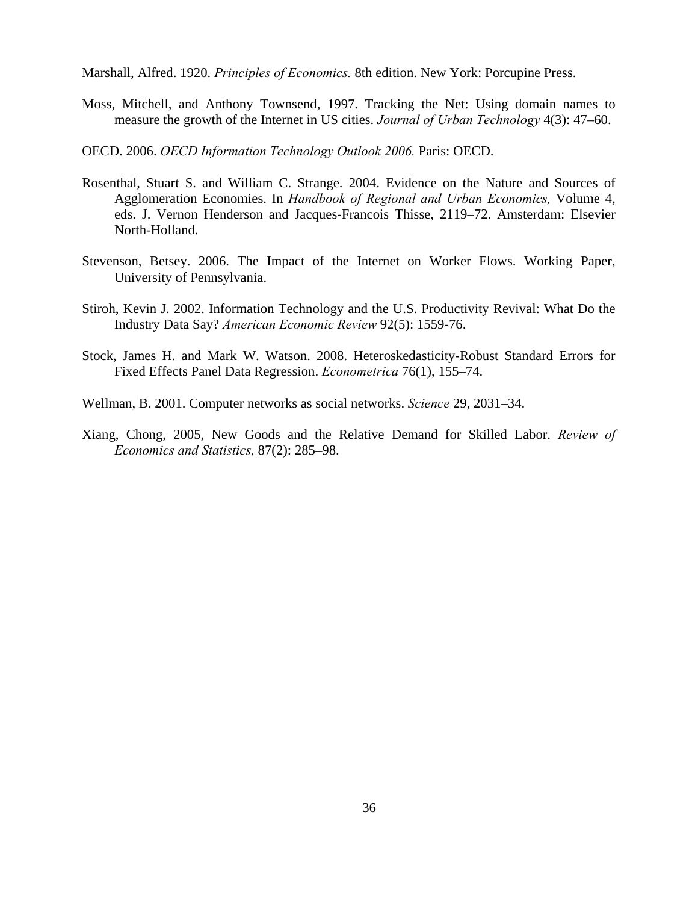Marshall, Alfred. 1920. *Principles of Economics.* 8th edition. New York: Porcupine Press.

- Moss, Mitchell, and Anthony Townsend, 1997. Tracking the Net: Using domain names to measure the growth of the Internet in US cities. *Journal of Urban Technology* 4(3): 47–60.
- OECD. 2006. *OECD Information Technology Outlook 2006.* Paris: OECD.
- Rosenthal, Stuart S. and William C. Strange. 2004. Evidence on the Nature and Sources of Agglomeration Economies. In *Handbook of Regional and Urban Economics,* Volume 4, eds. J. Vernon Henderson and Jacques-Francois Thisse, 2119–72. Amsterdam: Elsevier North-Holland.
- Stevenson, Betsey. 2006. The Impact of the Internet on Worker Flows. Working Paper, University of Pennsylvania.
- Stiroh, Kevin J. 2002. Information Technology and the U.S. Productivity Revival: What Do the Industry Data Say? *American Economic Review* 92(5): 1559-76.
- Stock, James H. and Mark W. Watson. 2008. Heteroskedasticity-Robust Standard Errors for Fixed Effects Panel Data Regression. *Econometrica* 76(1), 155–74.
- Wellman, B. 2001. Computer networks as social networks. *Science* 29, 2031–34.
- Xiang, Chong, 2005, New Goods and the Relative Demand for Skilled Labor. *Review of Economics and Statistics,* 87(2): 285–98.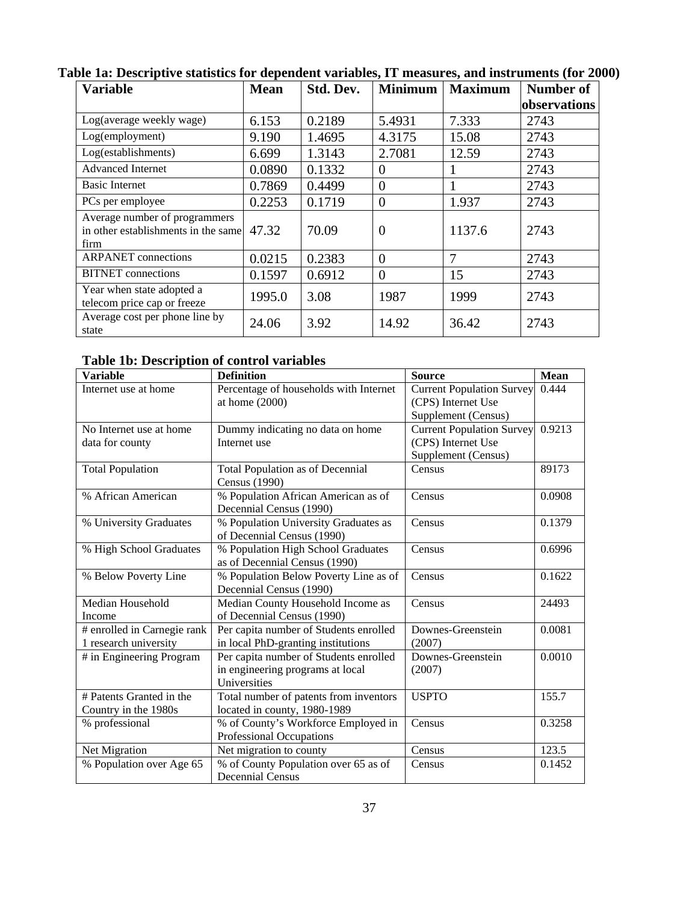| <b>Variable</b>                                                              | <b>Mean</b> | Std. Dev. | <b>Minimum</b> | <b>Maximum</b> | Number of    |
|------------------------------------------------------------------------------|-------------|-----------|----------------|----------------|--------------|
|                                                                              |             |           |                |                | observations |
| Log(average weekly wage)                                                     | 6.153       | 0.2189    | 5.4931         | 7.333          | 2743         |
| Log(employment)                                                              | 9.190       | 1.4695    | 4.3175         | 15.08          | 2743         |
| Log(establishments)                                                          | 6.699       | 1.3143    | 2.7081         | 12.59          | 2743         |
| <b>Advanced Internet</b>                                                     | 0.0890      | 0.1332    | $\theta$       |                | 2743         |
| <b>Basic Internet</b>                                                        | 0.7869      | 0.4499    | $\overline{0}$ |                | 2743         |
| PCs per employee                                                             | 0.2253      | 0.1719    | $\overline{0}$ | 1.937          | 2743         |
| Average number of programmers<br>in other establishments in the same<br>firm | 47.32       | 70.09     | $\theta$       | 1137.6         | 2743         |
| <b>ARPANET</b> connections                                                   | 0.0215      | 0.2383    | $\overline{0}$ | 7              | 2743         |
| <b>BITNET</b> connections                                                    | 0.1597      | 0.6912    | $\overline{0}$ | 15             | 2743         |
| Year when state adopted a<br>telecom price cap or freeze                     | 1995.0      | 3.08      | 1987           | 1999           | 2743         |
| Average cost per phone line by<br>state                                      | 24.06       | 3.92      | 14.92          | 36.42          | 2743         |

**Table 1a: Descriptive statistics for dependent variables, IT measures, and instruments (for 2000)** 

**Table 1b: Description of control variables** 

| <b>Variable</b>             | <b>Definition</b>                       | <b>Source</b>                    | <b>Mean</b> |
|-----------------------------|-----------------------------------------|----------------------------------|-------------|
| Internet use at home        | Percentage of households with Internet  | <b>Current Population Survey</b> | 0.444       |
|                             | at home $(2000)$                        | (CPS) Internet Use               |             |
|                             |                                         | Supplement (Census)              |             |
| No Internet use at home     | Dummy indicating no data on home        | <b>Current Population Survey</b> | 0.9213      |
| data for county             | Internet use                            | (CPS) Internet Use               |             |
|                             |                                         | Supplement (Census)              |             |
| <b>Total Population</b>     | <b>Total Population as of Decennial</b> | Census                           | 89173       |
|                             | Census (1990)                           |                                  |             |
| % African American          | % Population African American as of     | Census                           | 0.0908      |
|                             | Decennial Census (1990)                 |                                  |             |
| % University Graduates      | % Population University Graduates as    | Census                           | 0.1379      |
|                             | of Decennial Census (1990)              |                                  |             |
| % High School Graduates     | % Population High School Graduates      | Census                           | 0.6996      |
|                             | as of Decennial Census (1990)           |                                  |             |
| % Below Poverty Line        | % Population Below Poverty Line as of   | Census                           | 0.1622      |
|                             | Decennial Census (1990)                 |                                  |             |
| Median Household            | Median County Household Income as       | Census                           | 24493       |
| Income                      | of Decennial Census (1990)              |                                  |             |
| # enrolled in Carnegie rank | Per capita number of Students enrolled  | Downes-Greenstein                | 0.0081      |
| 1 research university       | in local PhD-granting institutions      | (2007)                           |             |
| # in Engineering Program    | Per capita number of Students enrolled  | Downes-Greenstein                | 0.0010      |
|                             | in engineering programs at local        | (2007)                           |             |
|                             | Universities                            |                                  |             |
| # Patents Granted in the    | Total number of patents from inventors  | <b>USPTO</b>                     | 155.7       |
| Country in the 1980s        | located in county, 1980-1989            |                                  |             |
| % professional              | % of County's Workforce Employed in     | Census                           | 0.3258      |
|                             | Professional Occupations                |                                  |             |
| Net Migration               | Net migration to county                 | Census                           | 123.5       |
| % Population over Age 65    | % of County Population over 65 as of    | Census                           | 0.1452      |
|                             | <b>Decennial Census</b>                 |                                  |             |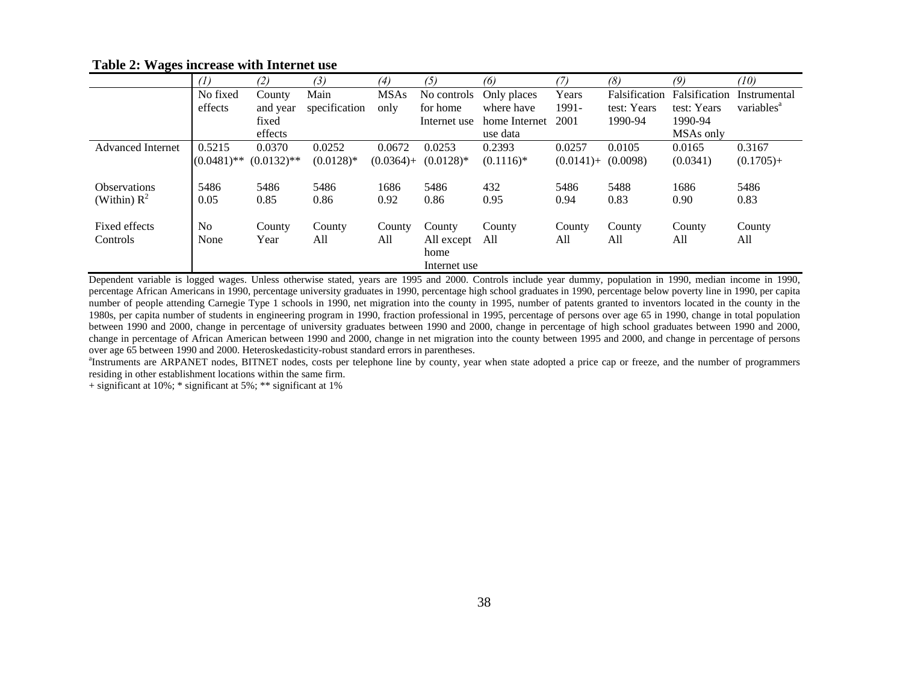|                          | (1)            | (2)           | (3)           | (4)          | (5)          | (6)           | (7)          | (8)           | (9)           | (10)                   |
|--------------------------|----------------|---------------|---------------|--------------|--------------|---------------|--------------|---------------|---------------|------------------------|
|                          | No fixed       | County        | Main          | <b>MSAs</b>  | No controls  | Only places   | Years        | Falsification | Falsification | Instrumental           |
|                          | effects        | and year      | specification | only         | for home     | where have    | 1991-        | test: Years   | test: Years   | variables <sup>a</sup> |
|                          |                | fixed         |               |              | Internet use | home Internet | 2001         | 1990-94       | 1990-94       |                        |
|                          |                | effects       |               |              |              | use data      |              |               | MSAs only     |                        |
| <b>Advanced Internet</b> | 0.5215         | 0.0370        | 0.0252        | 0.0672       | 0.0253       | 0.2393        | 0.0257       | 0.0105        | 0.0165        | 0.3167                 |
|                          | $(0.0481)$ **  | $(0.0132)$ ** | $(0.0128)$ *  | $(0.0364) +$ | $(0.0128)$ * | $(0.1116)*$   | $(0.0141) +$ | (0.0098)      | (0.0341)      | $(0.1705) +$           |
|                          |                |               |               |              |              |               |              |               |               |                        |
| <b>Observations</b>      | 5486           | 5486          | 5486          | 1686         | 5486         | 432           | 5486         | 5488          | 1686          | 5486                   |
| (Within) $R^2$           | 0.05           | 0.85          | 0.86          | 0.92         | 0.86         | 0.95          | 0.94         | 0.83          | 0.90          | 0.83                   |
|                          |                |               |               |              |              |               |              |               |               |                        |
| Fixed effects            | N <sub>0</sub> | County        | County        | County       | County       | County        | County       | County        | County        | County                 |
| Controls                 | None           | Year          | All           | All          | All except   | All           | All          | All           | All           | All                    |
|                          |                |               |               |              | home         |               |              |               |               |                        |
|                          |                |               |               |              | Internet use |               |              |               |               |                        |

# **Table 2: Wages increase with Internet use**

Dependent variable is logged wages. Unless otherwise stated, years are 1995 and 2000. Controls include year dummy, population in 1990, median income in 1990, percentage African Americans in 1990, percentage university graduates in 1990, percentage high school graduates in 1990, percentage below poverty line in 1990, per capita number of people attending Carnegie Type 1 schools in 1990, net migration into the county in 1995, number of patents granted to inventors located in the county in the 1980s, per capita number of students in engineering program in 1990, fraction professional in 1995, percentage of persons over age 65 in 1990, change in total population between 1990 and 2000, change in percentage of university graduates between 1990 and 2000, change in percentage of high school graduates between 1990 and 2000, change in percentage of African American between 1990 and 2000, change in net migration into the county between 1995 and 2000, and change in percentage of persons over age 65 between 1990 and 2000. Heteroskedasticity-robust standard errors in parentheses.

<sup>a</sup>Instruments are ARPANET nodes, BITNET nodes, costs per telephone line by county, year when state adopted a price cap or freeze, and the number of programmers residing in other establishment locations within the same firm.

+ significant at 10%; \* significant at 5%; \*\* significant at 1%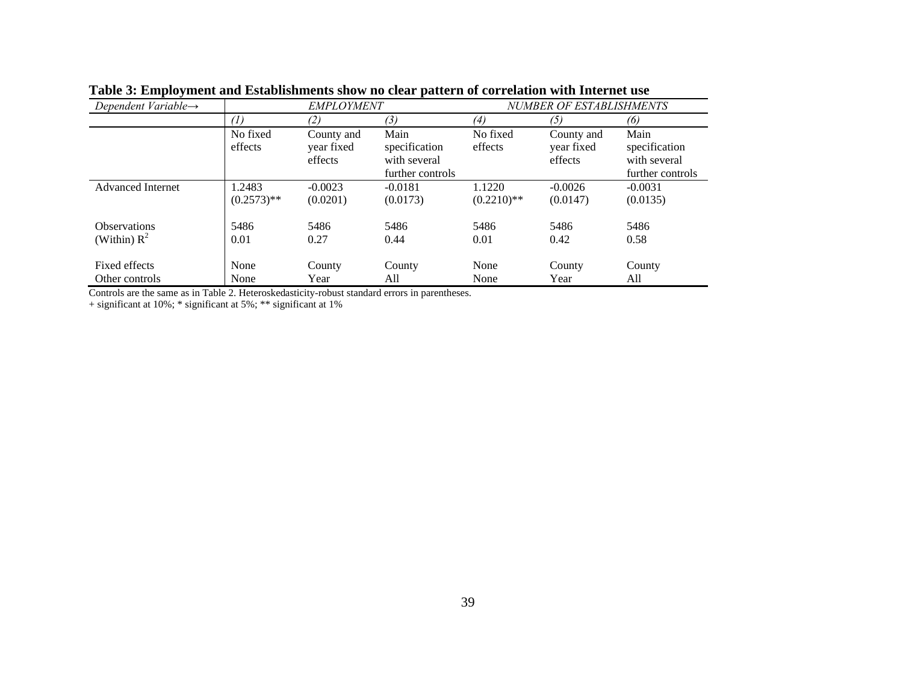| Dependent Variable $\rightarrow$ | <b>EMPLOYMENT</b>   |                                     |                                                           | NUMBER OF ESTABLISHMENTS |                                     |                                                           |  |
|----------------------------------|---------------------|-------------------------------------|-----------------------------------------------------------|--------------------------|-------------------------------------|-----------------------------------------------------------|--|
|                                  | (1)<br>(2)          |                                     | (3)                                                       | (4)                      | (5)                                 | (6)                                                       |  |
|                                  | No fixed<br>effects | County and<br>year fixed<br>effects | Main<br>specification<br>with several<br>further controls | No fixed<br>effects      | County and<br>vear fixed<br>effects | Main<br>specification<br>with several<br>further controls |  |
| <b>Advanced Internet</b>         | 1.2483              | $-0.0023$                           | $-0.0181$                                                 | 1.1220                   | $-0.0026$                           | $-0.0031$                                                 |  |
|                                  | $(0.2573)$ **       | (0.0201)                            | (0.0173)                                                  | $(0.2210)**$             | (0.0147)                            | (0.0135)                                                  |  |
| <b>Observations</b>              | 5486                | 5486                                | 5486                                                      | 5486                     | 5486                                | 5486                                                      |  |
| (Within) $R^2$                   | 0.01                | 0.27                                | 0.44                                                      | 0.01                     | 0.42                                | 0.58                                                      |  |
| Fixed effects                    | None                | County                              | County                                                    | None                     | County                              | County                                                    |  |
| Other controls                   | None                | Year                                | All                                                       | None                     | Year                                | All                                                       |  |

**Table 3: Employment and Establishments show no clear pattern of correlation with Internet use** 

Controls are the same as in Table 2. Heteroskedasticity-robust standard errors in parentheses.

+ significant at 10%; \* significant at 5%; \*\* significant at 1%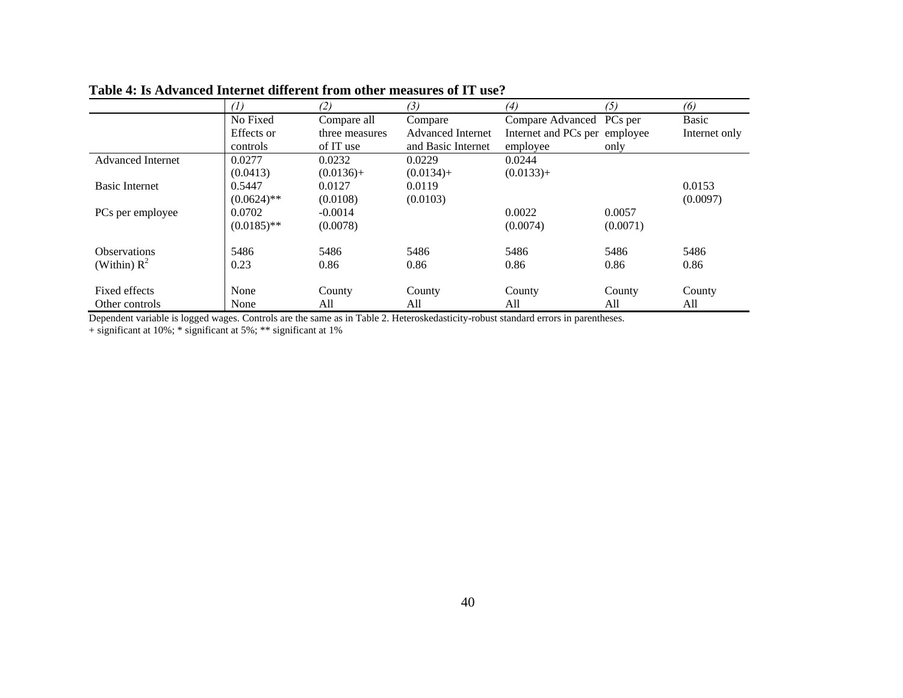|                          | (1)           | (2)            | (3)                      | (4)                           | (5)      | (6)           |
|--------------------------|---------------|----------------|--------------------------|-------------------------------|----------|---------------|
|                          | No Fixed      | Compare all    | Compare                  | Compare Advanced PCs per      |          | Basic         |
|                          | Effects or    | three measures | <b>Advanced Internet</b> | Internet and PCs per employee |          | Internet only |
|                          | controls      | of IT use      | and Basic Internet       | employee                      | only     |               |
| <b>Advanced Internet</b> | 0.0277        | 0.0232         | 0.0229                   | 0.0244                        |          |               |
|                          | (0.0413)      | $(0.0136) +$   | $(0.0134) +$             | $(0.0133) +$                  |          |               |
| <b>Basic Internet</b>    | 0.5447        | 0.0127         | 0.0119                   |                               |          | 0.0153        |
|                          | $(0.0624)$ ** | (0.0108)       | (0.0103)                 |                               |          | (0.0097)      |
| PCs per employee         | 0.0702        | $-0.0014$      |                          | 0.0022                        | 0.0057   |               |
|                          | $(0.0185)$ ** | (0.0078)       |                          | (0.0074)                      | (0.0071) |               |
| <b>Observations</b>      | 5486          | 5486           | 5486                     | 5486                          | 5486     | 5486          |
| (Within) $R^2$           | 0.23          | 0.86           | 0.86                     | 0.86                          | 0.86     | 0.86          |
| Fixed effects            | None          | County         | County                   | County                        | County   | County        |
|                          |               |                |                          |                               |          |               |
| Other controls           | None          | All            | All                      | All                           | All      | All           |

#### **Table 4: Is Advanced Internet different from other measures of IT use?**

Dependent variable is logged wages. Controls are the same as in Table 2. Heteroskedasticity-robust standard errors in parentheses.

+ significant at 10%; \* significant at 5%; \*\* significant at 1%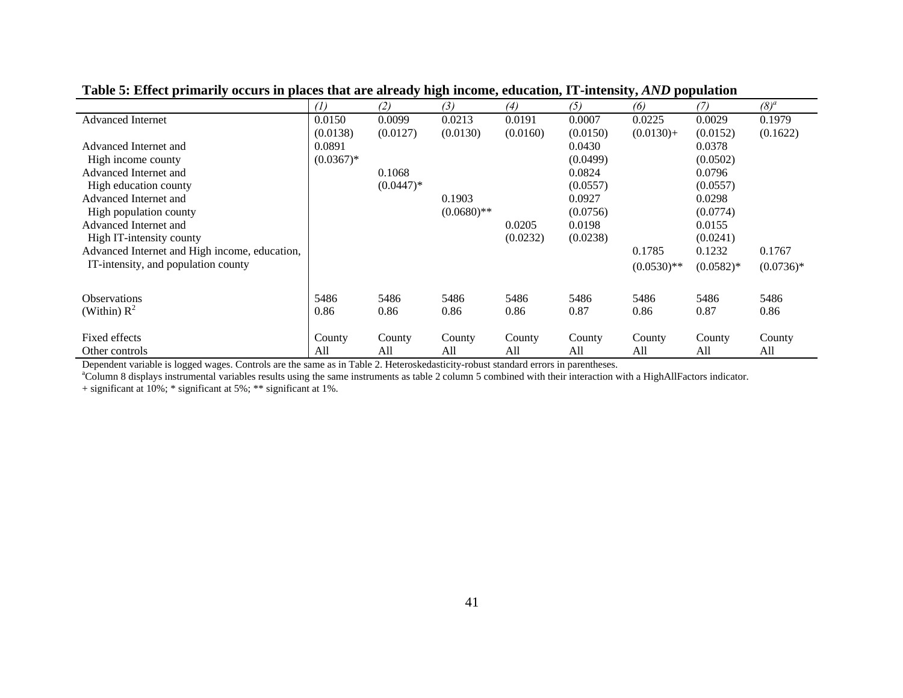|                                               | (1)         | (2)         | (3)           | (4)      | (5)      | (6)          | (7)         | $(8)^{a}$   |
|-----------------------------------------------|-------------|-------------|---------------|----------|----------|--------------|-------------|-------------|
| <b>Advanced Internet</b>                      | 0.0150      | 0.0099      | 0.0213        | 0.0191   | 0.0007   | 0.0225       | 0.0029      | 0.1979      |
|                                               | (0.0138)    | (0.0127)    | (0.0130)      | (0.0160) | (0.0150) | $(0.0130)+$  | (0.0152)    | (0.1622)    |
| Advanced Internet and                         | 0.0891      |             |               |          | 0.0430   |              | 0.0378      |             |
| High income county                            | $(0.0367)*$ |             |               |          | (0.0499) |              | (0.0502)    |             |
| Advanced Internet and                         |             | 0.1068      |               |          | 0.0824   |              | 0.0796      |             |
| High education county                         |             | $(0.0447)*$ |               |          | (0.0557) |              | (0.0557)    |             |
| Advanced Internet and                         |             |             | 0.1903        |          | 0.0927   |              | 0.0298      |             |
| High population county                        |             |             | $(0.0680)$ ** |          | (0.0756) |              | (0.0774)    |             |
| Advanced Internet and                         |             |             |               | 0.0205   | 0.0198   |              | 0.0155      |             |
| High IT-intensity county                      |             |             |               | (0.0232) | (0.0238) |              | (0.0241)    |             |
| Advanced Internet and High income, education, |             |             |               |          |          | 0.1785       | 0.1232      | 0.1767      |
| IT-intensity, and population county           |             |             |               |          |          | $(0.0530)**$ | $(0.0582)*$ | $(0.0736)*$ |
|                                               |             |             |               |          |          |              |             |             |
| <b>Observations</b>                           | 5486        | 5486        | 5486          | 5486     | 5486     | 5486         | 5486        | 5486        |
| (Within) $R^2$                                | 0.86        | 0.86        | 0.86          | 0.86     | 0.87     | 0.86         | 0.87        | 0.86        |
| Fixed effects                                 | County      | County      | County        | County   | County   | County       | County      | County      |
| Other controls                                | All         | All         | All           | All      | All      | All          | All         | All         |

**Table 5: Effect primarily occurs in places that are already high income, education, IT-intensity,** *AND* **population** 

Dependent variable is logged wages. Controls are the same as in Table 2. Heteroskedasticity-robust standard errors in parentheses.

<sup>a</sup>Column 8 displays instrumental variables results using the same instruments as table 2 column 5 combined with their interaction with a HighAllFactors indicator.

+ significant at 10%; \* significant at 5%; \*\* significant at 1%.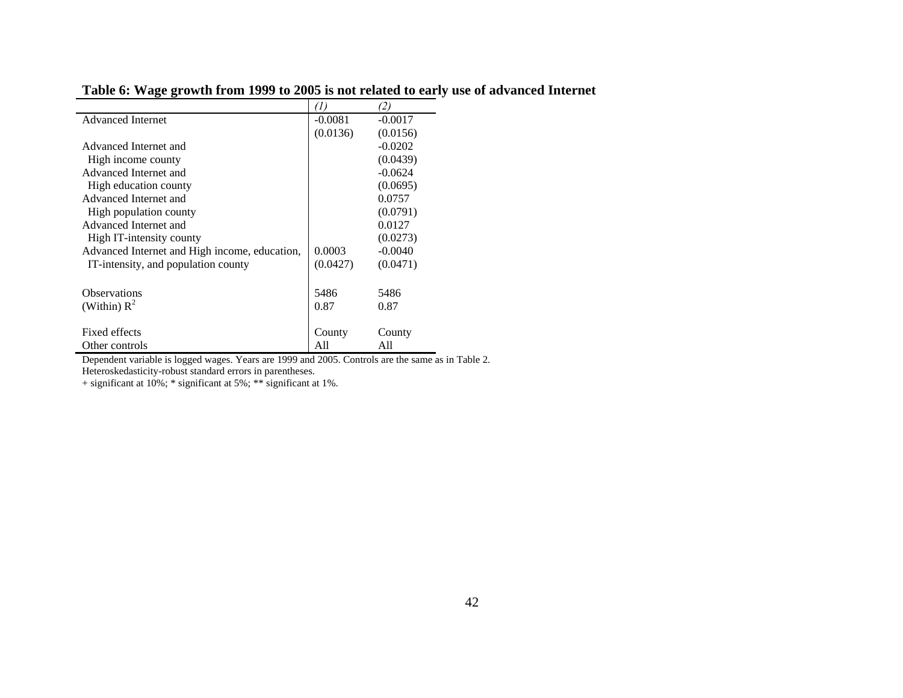| <b>Advanced Internet</b>                      | $-0.0081$ | $-0.0017$ |
|-----------------------------------------------|-----------|-----------|
|                                               | (0.0136)  | (0.0156)  |
| Advanced Internet and                         |           | $-0.0202$ |
| High income county                            |           | (0.0439)  |
| Advanced Internet and                         |           | $-0.0624$ |
| High education county                         |           | (0.0695)  |
| Advanced Internet and                         |           | 0.0757    |
| High population county                        |           | (0.0791)  |
| Advanced Internet and                         |           | 0.0127    |
| High IT-intensity county                      |           | (0.0273)  |
| Advanced Internet and High income, education, | 0.0003    | $-0.0040$ |
| IT-intensity, and population county           | (0.0427)  | (0.0471)  |
| <b>Observations</b>                           | 5486      | 5486      |
| (Within) $R^2$                                | 0.87      | 0.87      |
|                                               |           |           |
| Fixed effects                                 | County    | County    |
| Other controls                                | All       | All       |

**Table 6: Wage growth from 1999 to 2005 is not related to early use of advanced Internet** 

 Dependent variable is logged wages. Years are 1999 and 2005. Controls are the same as in Table 2. Heteroskedasticity-robust standard errors in parentheses.

+ significant at 10%; \* significant at 5%; \*\* significant at 1%.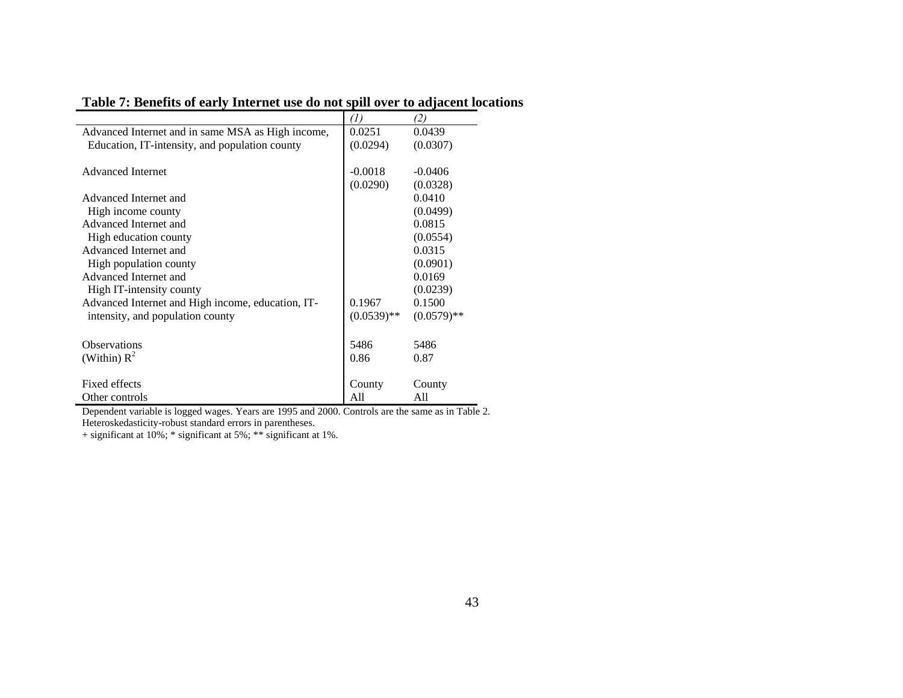# **Table 7: Benefits of early Internet use do not spill over to adjacent locations**

|                                                                                                   | $\left( I\right)$ | (2)           |
|---------------------------------------------------------------------------------------------------|-------------------|---------------|
| Advanced Internet and in same MSA as High income,                                                 | 0.0251            | 0.0439        |
| Education, IT-intensity, and population county                                                    | (0.0294)          | (0.0307)      |
|                                                                                                   |                   |               |
| <b>Advanced Internet</b>                                                                          | $-0.0018$         | $-0.0406$     |
|                                                                                                   | (0.0290)          | (0.0328)      |
| Advanced Internet and                                                                             |                   | 0.0410        |
| High income county                                                                                |                   | (0.0499)      |
| Advanced Internet and                                                                             |                   | 0.0815        |
| High education county                                                                             |                   | (0.0554)      |
| Advanced Internet and                                                                             |                   | 0.0315        |
| High population county                                                                            |                   | (0.0901)      |
| Advanced Internet and                                                                             |                   | 0.0169        |
| High IT-intensity county                                                                          |                   | (0.0239)      |
| Advanced Internet and High income, education, IT-                                                 | 0.1967            | 0.1500        |
| intensity, and population county                                                                  | $(0.0539)**$      | $(0.0579)$ ** |
|                                                                                                   |                   |               |
| <b>Observations</b>                                                                               | 5486              | 5486          |
| (Within) $R^2$                                                                                    | 0.86              | 0.87          |
|                                                                                                   |                   |               |
| Fixed effects                                                                                     | County            | County        |
| Other controls                                                                                    | All               | All           |
| Dependent variable is logged wages. Years are 1995 and 2000. Controls are the same as in Table 2. |                   |               |

Heteroskedasticity-robust standard errors in parentheses.

+ significant at 10%; \* significant at 5%; \*\* significant at 1%.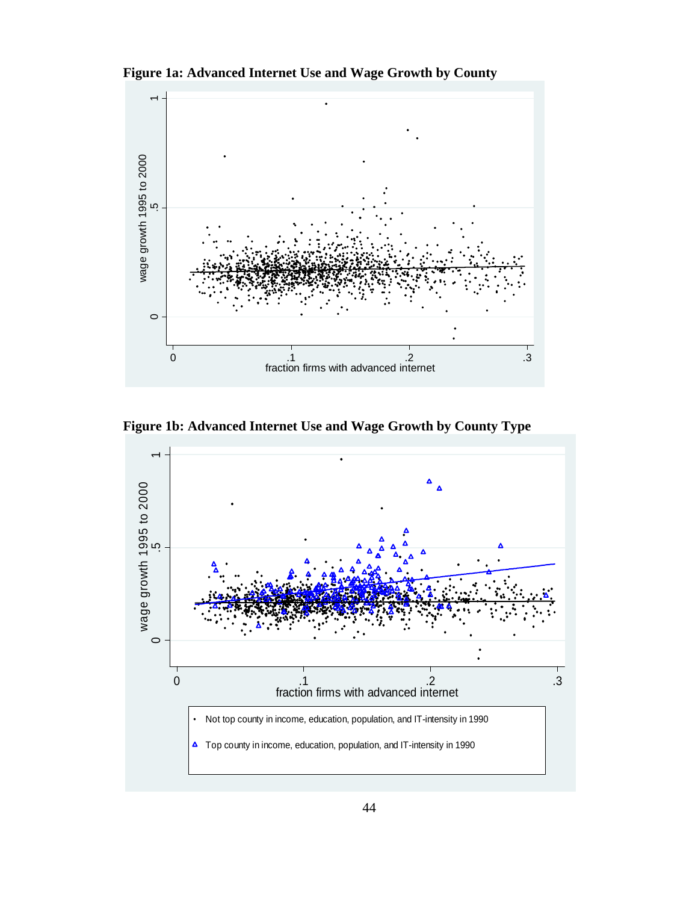**Figure 1a: Advanced Internet Use and Wage Growth by County** 



**Figure 1b: Advanced Internet Use and Wage Growth by County Type** 

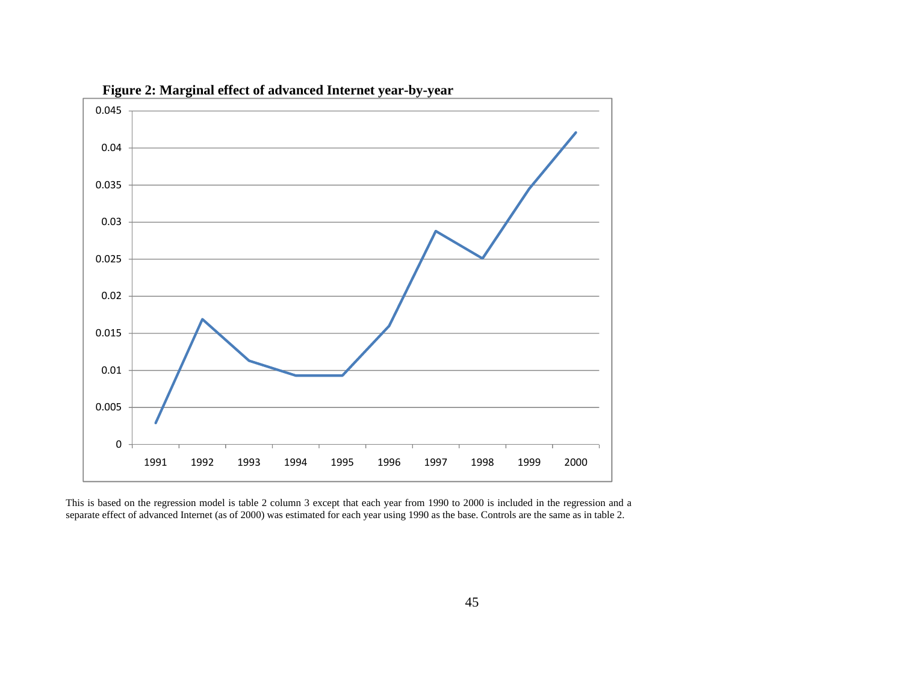

**Figure 2: Marginal effect of advanced Internet year-by-year** 

This is based on the regression model is table 2 column 3 except that each year from 1990 to 2000 is included in the regression and a separate effect of advanced Internet (as of 2000) was estimated for each year using 1990 as the base. Controls are the same as in table 2.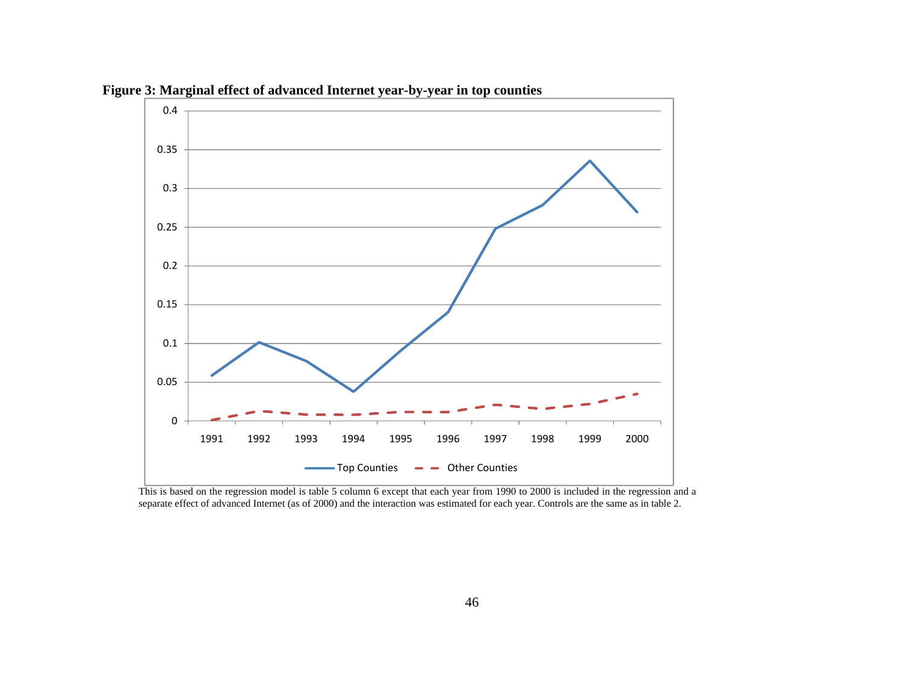

**Figure 3: Marginal effect of advanced Internet year-by-year in top counties** 

This is based on the regression model is table 5 column 6 except that each year from 1990 to 2000 is included in the regression and a separate effect of advanced Internet (as of 2000) and the interaction was estimated for each year. Controls are the same as in table 2.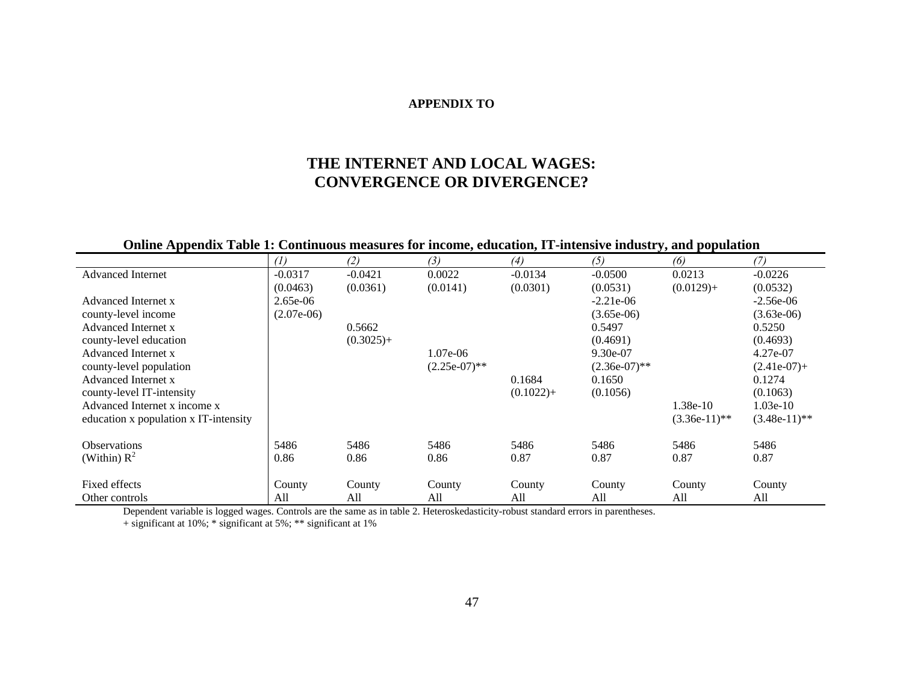#### **APPENDIX TO**

# **THE INTERNET AND LOCAL WAGES: CONVERGENCE OR DIVERGENCE?**

# **Online Appendix Table 1: Continuous measures for income, education, IT-intensive industry, and population**

|                                       | (1)          | (2)          | (3)             | (4)          | (5)             | (6)            | (7)            |
|---------------------------------------|--------------|--------------|-----------------|--------------|-----------------|----------------|----------------|
| <b>Advanced Internet</b>              | $-0.0317$    | $-0.0421$    | 0.0022          | $-0.0134$    | $-0.0500$       | 0.0213         | $-0.0226$      |
|                                       | (0.0463)     | (0.0361)     | (0.0141)        | (0.0301)     | (0.0531)        | $(0.0129) +$   | (0.0532)       |
| Advanced Internet x                   | $2.65e-06$   |              |                 |              | $-2.21e-06$     |                | $-2.56e-06$    |
| county-level income                   | $(2.07e-06)$ |              |                 |              | $(3.65e-06)$    |                | $(3.63e-06)$   |
| Advanced Internet x                   |              | 0.5662       |                 |              | 0.5497          |                | 0.5250         |
| county-level education                |              | $(0.3025) +$ |                 |              | (0.4691)        |                | (0.4693)       |
| Advanced Internet x                   |              |              | $1.07e-06$      |              | $9.30e-07$      |                | 4.27e-07       |
| county-level population               |              |              | $(2.25e-07)$ ** |              | $(2.36e-07)$ ** |                | $(2.41e-07) +$ |
| Advanced Internet x                   |              |              |                 | 0.1684       | 0.1650          |                | 0.1274         |
| county-level IT-intensity             |              |              |                 | $(0.1022) +$ | (0.1056)        |                | (0.1063)       |
| Advanced Internet x income x          |              |              |                 |              |                 | 1.38e-10       | $1.03e-10$     |
| education x population x IT-intensity |              |              |                 |              |                 | $(3.36e-11)**$ | $(3.48e-11)*$  |
| <b>Observations</b>                   | 5486         | 5486         | 5486            | 5486         | 5486            | 5486           | 5486           |
| (Within) $R^2$                        | 0.86         | 0.86         | 0.86            | 0.87         | 0.87            | 0.87           | 0.87           |
| Fixed effects                         | County       | County       | County          | County       | County          | County         | County         |
| Other controls                        | All          | All          | All             | All          | All             | All            | All            |

Dependent variable is logged wages. Controls are the same as in table 2. Heteroskedasticity-robust standard errors in parentheses.

+ significant at 10%; \* significant at 5%; \*\* significant at 1%

J.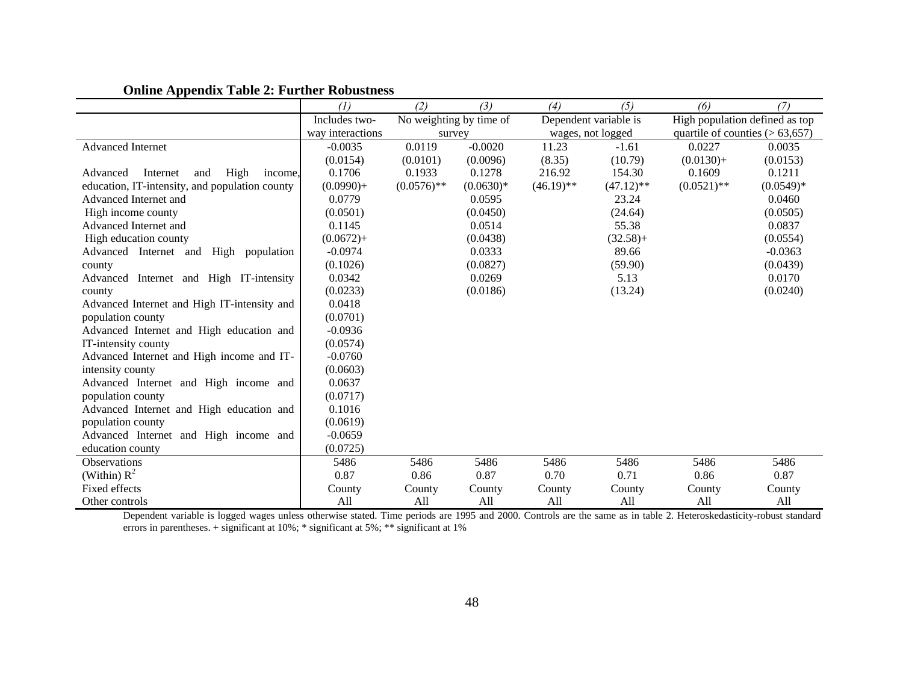|                                                | $\left( l\right)$ | (2)                     | (3)         | (4)          | (5)                   | (6)                            | (7)                                |  |
|------------------------------------------------|-------------------|-------------------------|-------------|--------------|-----------------------|--------------------------------|------------------------------------|--|
|                                                | Includes two-     | No weighting by time of |             |              | Dependent variable is | High population defined as top |                                    |  |
|                                                | way interactions  | survey                  |             |              | wages, not logged     |                                | quartile of counties $(> 63, 657)$ |  |
| <b>Advanced Internet</b>                       | $-0.0035$         | 0.0119                  | $-0.0020$   | 11.23        | $-1.61$               | 0.0227                         | 0.0035                             |  |
|                                                | (0.0154)          | (0.0101)                | (0.0096)    | (8.35)       | (10.79)               | $(0.0130)+$                    | (0.0153)                           |  |
| High<br>Advanced<br>Internet<br>and<br>income. | 0.1706            | 0.1933                  | 0.1278      | 216.92       | 154.30                | 0.1609                         | 0.1211                             |  |
| education, IT-intensity, and population county | $(0.0990)+$       | $(0.0576)$ **           | $(0.0630)*$ | $(46.19)$ ** | $(47.12)$ **          | $(0.0521)$ **                  | $(0.0549)*$                        |  |
| Advanced Internet and                          | 0.0779            |                         | 0.0595      |              | 23.24                 |                                | 0.0460                             |  |
| High income county                             | (0.0501)          |                         | (0.0450)    |              | (24.64)               |                                | (0.0505)                           |  |
| Advanced Internet and                          | 0.1145            |                         | 0.0514      |              | 55.38                 |                                | 0.0837                             |  |
| High education county                          | $(0.0672) +$      |                         | (0.0438)    |              | $(32.58) +$           |                                | (0.0554)                           |  |
| Advanced Internet and<br>High<br>population    | $-0.0974$         |                         | 0.0333      |              | 89.66                 |                                | $-0.0363$                          |  |
| county                                         | (0.1026)          |                         | (0.0827)    |              | (59.90)               |                                | (0.0439)                           |  |
| Advanced Internet and High IT-intensity        | 0.0342            |                         | 0.0269      |              | 5.13                  |                                | 0.0170                             |  |
| county                                         | (0.0233)          |                         | (0.0186)    |              | (13.24)               |                                | (0.0240)                           |  |
| Advanced Internet and High IT-intensity and    | 0.0418            |                         |             |              |                       |                                |                                    |  |
| population county                              | (0.0701)          |                         |             |              |                       |                                |                                    |  |
| Advanced Internet and High education and       | $-0.0936$         |                         |             |              |                       |                                |                                    |  |
| IT-intensity county                            | (0.0574)          |                         |             |              |                       |                                |                                    |  |
| Advanced Internet and High income and IT-      | $-0.0760$         |                         |             |              |                       |                                |                                    |  |
| intensity county                               | (0.0603)          |                         |             |              |                       |                                |                                    |  |
| Advanced Internet and High income and          | 0.0637            |                         |             |              |                       |                                |                                    |  |
| population county                              | (0.0717)          |                         |             |              |                       |                                |                                    |  |
| Advanced Internet and High education and       | 0.1016            |                         |             |              |                       |                                |                                    |  |
| population county                              | (0.0619)          |                         |             |              |                       |                                |                                    |  |
| Advanced Internet and High income and          | $-0.0659$         |                         |             |              |                       |                                |                                    |  |
| education county                               | (0.0725)          |                         |             |              |                       |                                |                                    |  |
| <b>Observations</b>                            | 5486              | 5486                    | 5486        | 5486         | 5486                  | 5486                           | 5486                               |  |
| (Within) $R^2$                                 | 0.87              | 0.86                    | 0.87        | 0.70         | 0.71                  | 0.86                           | 0.87                               |  |
| Fixed effects                                  | County            | County                  | County      | County       | County                | County                         | County                             |  |
| Other controls                                 | A11               | A11                     | A11         | A11          | A11                   | A11                            | A11                                |  |

# **Online Appendix Table 2: Further Robustness**

Other controls All All All All All All All Dependent variable is logged wages unless otherwise stated. Time periods are 1995 and 2000. Controls are the same as in table 2. Heteroskedasticity-robust standard errors in parentheses. + significant at 10%; \* significant at 5%; \*\* significant at 1%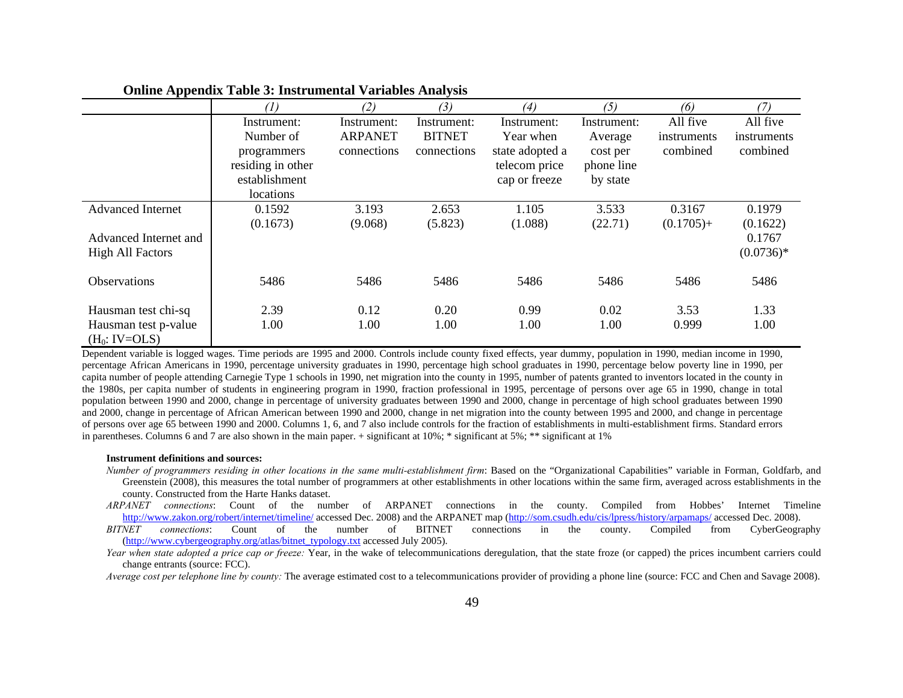|                          | (1)               | (2)            | (3)           | (4)             | (5)         | (6)          |             |
|--------------------------|-------------------|----------------|---------------|-----------------|-------------|--------------|-------------|
|                          | Instrument:       | Instrument:    | Instrument:   | Instrument:     | Instrument: | All five     | All five    |
|                          | Number of         | <b>ARPANET</b> | <b>BITNET</b> | Year when       | Average     | instruments  | instruments |
|                          | programmers       | connections    | connections   | state adopted a | cost per    | combined     | combined    |
|                          | residing in other |                |               | telecom price   | phone line  |              |             |
|                          | establishment     |                |               | cap or freeze   | by state    |              |             |
|                          | locations         |                |               |                 |             |              |             |
| <b>Advanced Internet</b> | 0.1592            | 3.193          | 2.653         | 1.105           | 3.533       | 0.3167       | 0.1979      |
|                          | (0.1673)          | (9.068)        | (5.823)       | (1.088)         | (22.71)     | $(0.1705) +$ | (0.1622)    |
| Advanced Internet and    |                   |                |               |                 |             |              | 0.1767      |
| <b>High All Factors</b>  |                   |                |               |                 |             |              | $(0.0736)*$ |
|                          |                   |                |               |                 |             |              |             |
| <b>Observations</b>      | 5486              | 5486           | 5486          | 5486            | 5486        | 5486         | 5486        |
|                          |                   |                |               |                 |             |              |             |
| Hausman test chi-sq      | 2.39              | 0.12           | 0.20          | 0.99            | 0.02        | 3.53         | 1.33        |
| Hausman test p-value     | 1.00              | 1.00           | 1.00          | 1.00            | 1.00        | 0.999        | 1.00        |
| $(H_0: IV=OLS)$          |                   |                |               |                 |             |              |             |

#### **Online Appendix Table 3: Instrumental Variables Analysis**

Dependent variable is logged wages. Time periods are 1995 and 2000. Controls include county fixed effects, year dummy, population in 1990, median income in 1990, percentage African Americans in 1990, percentage university graduates in 1990, percentage high school graduates in 1990, percentage below poverty line in 1990, per capita number of people attending Carnegie Type 1 schools in 1990, net migration into the county in 1995, number of patents granted to inventors located in the county in the 1980s, per capita number of students in engineering program in 1990, fraction professional in 1995, percentage of persons over age 65 in 1990, change in total population between 1990 and 2000, change in percentage of university graduates between 1990 and 2000, change in percentage of high school graduates between 1990 and 2000, change in percentage of African American between 1990 and 2000, change in net migration into the county between 1995 and 2000, and change in percentage of persons over age 65 between 1990 and 2000. Columns 1, 6, and 7 also include controls for the fraction of establishments in multi-establishment firms. Standard errors in parentheses. Columns 6 and 7 are also shown in the main paper. + significant at 10%; \* significant at 5%; \*\* significant at 1%

#### **Instrument definitions and sources:**

- *Number of programmers residing in other locations in the same multi-establishment firm*: Based on the "Organizational Capabilities" variable in Forman, Goldfarb, and Greenstein (2008), this measures the total number of programmers at other establishments in other locations within the same firm, averaged across establishments in the county. Constructed from the Harte Hanks dataset.
- *ARPANET connections*: Count of the number of ARPANET connections in the county. Compiled from Hobbes' Internet Timeline http://www.zakon.org/robert/internet/timeline/ accessed Dec. 2008) and the ARPANET map (http://som.csudh.edu/cis/lpress/history/arpamaps/ accessed Dec. 2008).
- *BITNET connections*: Count of the number of BITNET connections in the county. Compiled from CyberGeography (http://www.cybergeography.org/atlas/bitnet\_typology.txt accessed July 2005).
- *Year when state adopted a price cap or freeze:* Year, in the wake of telecommunications deregulation, that the state froze (or capped) the prices incumbent carriers could change entrants (source: FCC).

*Average cost per telephone line by county:* The average estimated cost to a telecommunications provider of providing a phone line (source: FCC and Chen and Savage 2008).